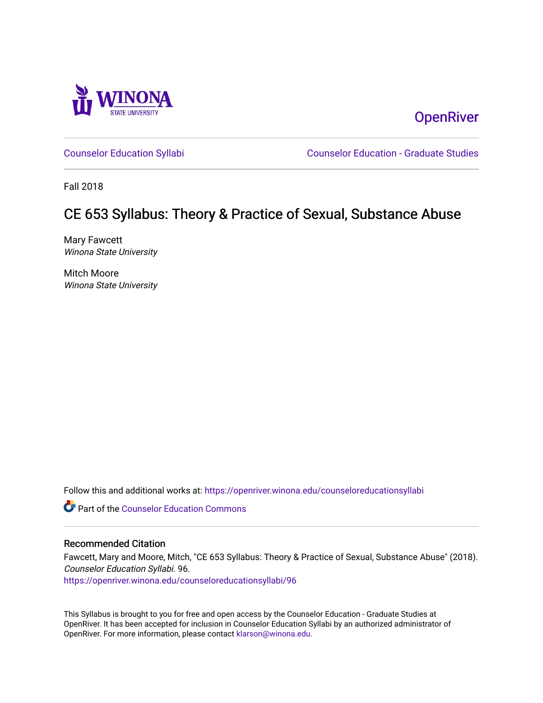

**OpenRiver** 

[Counselor Education Syllabi](https://openriver.winona.edu/counseloreducationsyllabi) [Counselor Education - Graduate Studies](https://openriver.winona.edu/counseloreducation) 

Fall 2018

## CE 653 Syllabus: Theory & Practice of Sexual, Substance Abuse

Mary Fawcett Winona State University

Mitch Moore Winona State University

Follow this and additional works at: [https://openriver.winona.edu/counseloreducationsyllabi](https://openriver.winona.edu/counseloreducationsyllabi?utm_source=openriver.winona.edu%2Fcounseloreducationsyllabi%2F96&utm_medium=PDF&utm_campaign=PDFCoverPages)

**C** Part of the Counselor Education Commons

#### Recommended Citation

Fawcett, Mary and Moore, Mitch, "CE 653 Syllabus: Theory & Practice of Sexual, Substance Abuse" (2018). Counselor Education Syllabi. 96.

[https://openriver.winona.edu/counseloreducationsyllabi/96](https://openriver.winona.edu/counseloreducationsyllabi/96?utm_source=openriver.winona.edu%2Fcounseloreducationsyllabi%2F96&utm_medium=PDF&utm_campaign=PDFCoverPages) 

This Syllabus is brought to you for free and open access by the Counselor Education - Graduate Studies at OpenRiver. It has been accepted for inclusion in Counselor Education Syllabi by an authorized administrator of OpenRiver. For more information, please contact [klarson@winona.edu](mailto:klarson@winona.edu).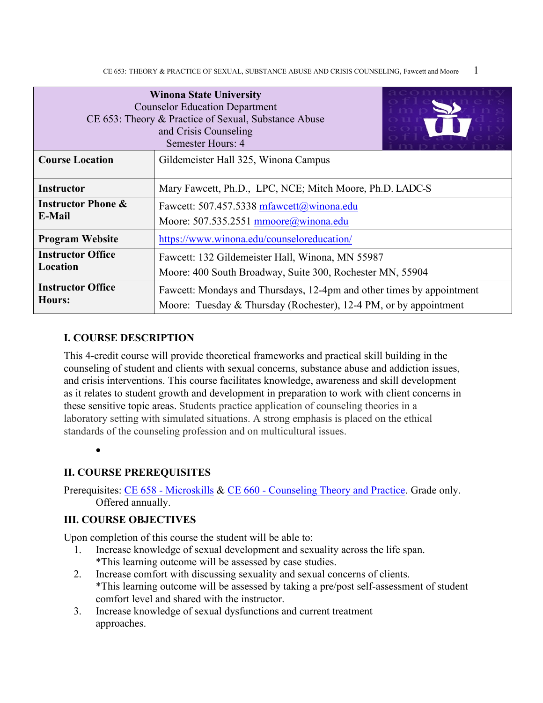| <b>Winona State University</b><br><b>Counselor Education Department</b><br>CE 653: Theory & Practice of Sexual, Substance Abuse<br>and Crisis Counseling<br>Semester Hours: 4 |                                                                                                                                            |  |  |  |  |
|-------------------------------------------------------------------------------------------------------------------------------------------------------------------------------|--------------------------------------------------------------------------------------------------------------------------------------------|--|--|--|--|
| <b>Course Location</b>                                                                                                                                                        | Gildemeister Hall 325, Winona Campus                                                                                                       |  |  |  |  |
| Mary Fawcett, Ph.D., LPC, NCE; Mitch Moore, Ph.D. LADC-S<br><b>Instructor</b>                                                                                                 |                                                                                                                                            |  |  |  |  |
| <b>Instructor Phone &amp;</b><br>Fawcett: 507.457.5338 mfawcett@winona.edu<br>E-Mail<br>Moore: 507.535.2551 mmoore@winona.edu                                                 |                                                                                                                                            |  |  |  |  |
| <b>Program Website</b>                                                                                                                                                        | https://www.winona.edu/counseloreducation/                                                                                                 |  |  |  |  |
| <b>Instructor Office</b><br>Fawcett: 132 Gildemeister Hall, Winona, MN 55987<br>Location<br>Moore: 400 South Broadway, Suite 300, Rochester MN, 55904                         |                                                                                                                                            |  |  |  |  |
| <b>Instructor Office</b><br><b>Hours:</b>                                                                                                                                     | Fawcett: Mondays and Thursdays, 12-4pm and other times by appointment<br>Moore: Tuesday & Thursday (Rochester), 12-4 PM, or by appointment |  |  |  |  |

#### **I. COURSE DESCRIPTION**

This 4-credit course will provide theoretical frameworks and practical skill building in the counseling of student and clients with sexual concerns, substance abuse and addiction issues, and crisis interventions. This course facilitates knowledge, awareness and skill development as it relates to student growth and development in preparation to work with client concerns in these sensitive topic areas. Students practice application of counseling theories in a laboratory setting with simulated situations. A strong emphasis is placed on the ethical standards of the counseling profession and on multicultural issues.

•

#### **II. COURSE PREREQUISITES**

Prerequisites: CE 658 - [Microskills](http://catalog.winona.edu/preview_program.php?catoid=17&poid=3390#tt638) & CE 660 - [Counseling Theory and Practice.](http://catalog.winona.edu/preview_program.php?catoid=17&poid=3390#tt7677) Grade only. Offered annually.

#### **III. COURSE OBJECTIVES**

Upon completion of this course the student will be able to:

- 1. Increase knowledge of sexual development and sexuality across the life span. \*This learning outcome will be assessed by case studies.
- 2. Increase comfort with discussing sexuality and sexual concerns of clients. \*This learning outcome will be assessed by taking a pre/post self-assessment of student comfort level and shared with the instructor.
- 3. Increase knowledge of sexual dysfunctions and current treatment approaches.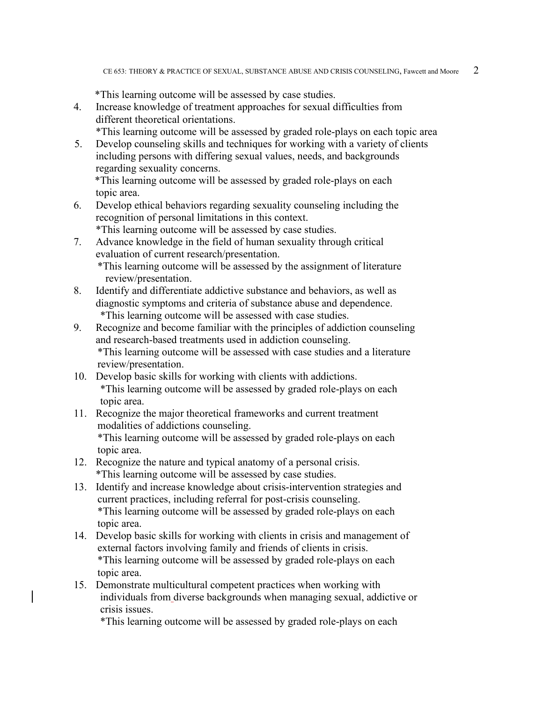\*This learning outcome will be assessed by case studies.

- 4. Increase knowledge of treatment approaches for sexual difficulties from different theoretical orientations.
	- \*This learning outcome will be assessed by graded role-plays on each topic area
- 5. Develop counseling skills and techniques for working with a variety of clients including persons with differing sexual values, needs, and backgrounds regarding sexuality concerns.

 \*This learning outcome will be assessed by graded role-plays on each topic area.

6. Develop ethical behaviors regarding sexuality counseling including the recognition of personal limitations in this context.

\*This learning outcome will be assessed by case studies.

- 7. Advance knowledge in the field of human sexuality through critical evaluation of current research/presentation. \*This learning outcome will be assessed by the assignment of literature review/presentation.
- 8. Identify and differentiate addictive substance and behaviors, as well as diagnostic symptoms and criteria of substance abuse and dependence. \*This learning outcome will be assessed with case studies.
- 9. Recognize and become familiar with the principles of addiction counseling and research-based treatments used in addiction counseling. \*This learning outcome will be assessed with case studies and a literature review/presentation.
- 10. Develop basic skills for working with clients with addictions. \*This learning outcome will be assessed by graded role-plays on each topic area.
- 11. Recognize the major theoretical frameworks and current treatment modalities of addictions counseling. \*This learning outcome will be assessed by graded role-plays on each topic area.
- 12. Recognize the nature and typical anatomy of a personal crisis. \*This learning outcome will be assessed by case studies.
- 13. Identify and increase knowledge about crisis-intervention strategies and current practices, including referral for post-crisis counseling. \*This learning outcome will be assessed by graded role-plays on each topic area.
- 14. Develop basic skills for working with clients in crisis and management of external factors involving family and friends of clients in crisis. \*This learning outcome will be assessed by graded role-plays on each topic area.
- 15. Demonstrate multicultural competent practices when working with individuals from diverse backgrounds when managing sexual, addictive or crisis issues.

\*This learning outcome will be assessed by graded role-plays on each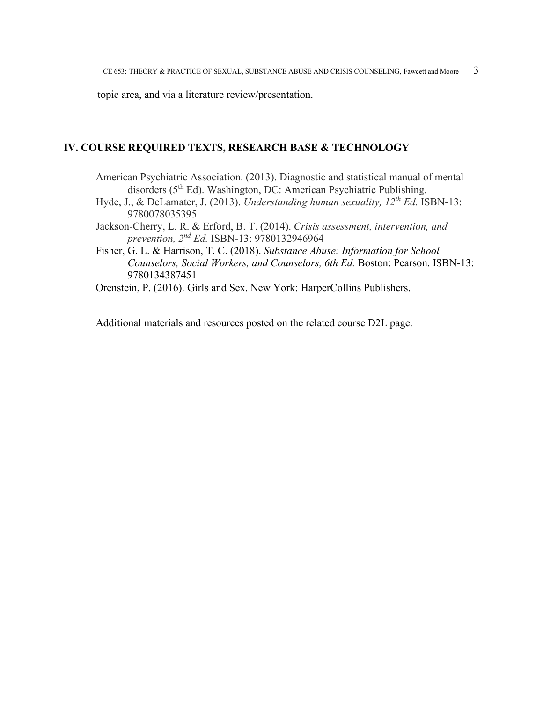topic area, and via a literature review/presentation.

#### **IV. COURSE REQUIRED TEXTS, RESEARCH BASE & TECHNOLOGY**

- American Psychiatric Association. (2013). Diagnostic and statistical manual of mental disorders (5<sup>th</sup> Ed). Washington, DC: American Psychiatric Publishing.
- Hyde, J., & DeLamater, J. (2013). *Understanding human sexuality, 12th Ed.* ISBN-13: 9780078035395
- Jackson-Cherry, L. R. & Erford, B. T. (2014). *Crisis assessment, intervention, and prevention, 2nd Ed.* ISBN-13: 9780132946964
- Fisher, G. L. & Harrison, T. C. (2018). *Substance Abuse: Information for School Counselors, Social Workers, and Counselors, 6th Ed.* Boston: Pearson. ISBN-13: 9780134387451

Orenstein, P. (2016). Girls and Sex. New York: HarperCollins Publishers.

Additional materials and resources posted on the related course D2L page.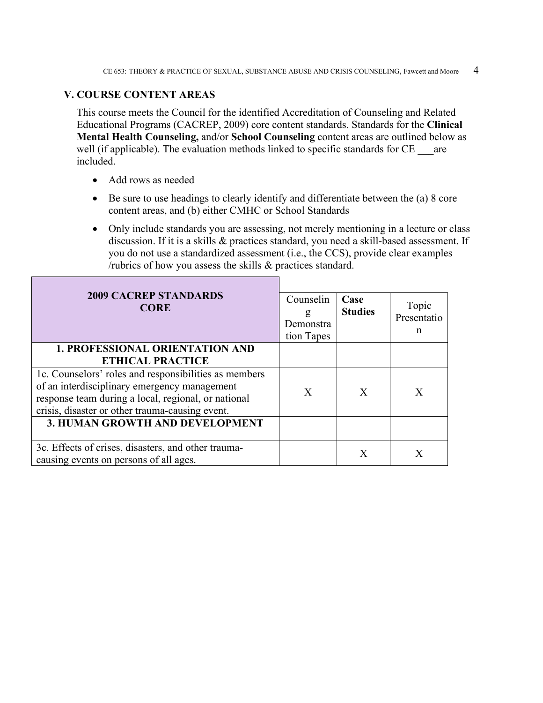#### **V. COURSE CONTENT AREAS**

This course meets the Council for the identified Accreditation of Counseling and Related Educational Programs (CACREP, 2009) core content standards. Standards for the **Clinical Mental Health Counseling,** and/or **School Counseling** content areas are outlined below as well (if applicable). The evaluation methods linked to specific standards for CE are included.

- Add rows as needed
- Be sure to use headings to clearly identify and differentiate between the (a) 8 core content areas, and (b) either CMHC or School Standards
- Only include standards you are assessing, not merely mentioning in a lecture or class discussion. If it is a skills & practices standard, you need a skill-based assessment. If you do not use a standardized assessment (i.e., the CCS), provide clear examples /rubrics of how you assess the skills & practices standard.

| <b>2009 CACREP STANDARDS</b>                          | Counselin  | Case           | Topic       |
|-------------------------------------------------------|------------|----------------|-------------|
| <b>CORE</b>                                           | g          | <b>Studies</b> | Presentatio |
|                                                       | Demonstra  |                |             |
|                                                       | tion Tapes |                | n           |
| <b>1. PROFESSIONAL ORIENTATION AND</b>                |            |                |             |
| <b>ETHICAL PRACTICE</b>                               |            |                |             |
| 1c. Counselors' roles and responsibilities as members |            |                |             |
| of an interdisciplinary emergency management          | X          | X              | X           |
| response team during a local, regional, or national   |            |                |             |
| crisis, disaster or other trauma-causing event.       |            |                |             |
| 3. HUMAN GROWTH AND DEVELOPMENT                       |            |                |             |
|                                                       |            |                |             |
| 3c. Effects of crises, disasters, and other trauma-   |            | X              | Х           |
| causing events on persons of all ages.                |            |                |             |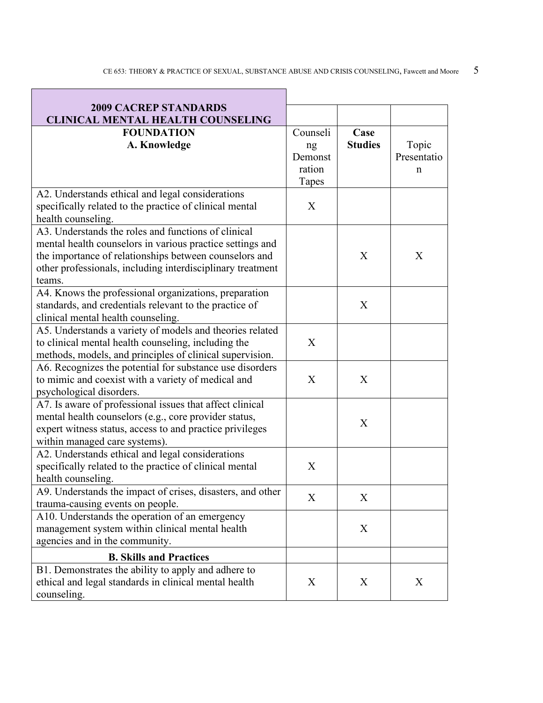| <b>2009 CACREP STANDARDS</b>                                                                                    |          |                |             |
|-----------------------------------------------------------------------------------------------------------------|----------|----------------|-------------|
| <b>CLINICAL MENTAL HEALTH COUNSELING</b>                                                                        |          |                |             |
| <b>FOUNDATION</b>                                                                                               | Counseli | Case           |             |
| A. Knowledge                                                                                                    | ng       | <b>Studies</b> | Topic       |
|                                                                                                                 | Demonst  |                | Presentatio |
|                                                                                                                 | ration   |                | n           |
|                                                                                                                 | Tapes    |                |             |
| A2. Understands ethical and legal considerations                                                                |          |                |             |
| specifically related to the practice of clinical mental                                                         | X        |                |             |
| health counseling.                                                                                              |          |                |             |
| A3. Understands the roles and functions of clinical                                                             |          |                |             |
| mental health counselors in various practice settings and                                                       |          |                |             |
| the importance of relationships between counselors and                                                          |          | X              | X           |
| other professionals, including interdisciplinary treatment                                                      |          |                |             |
| teams.                                                                                                          |          |                |             |
| A4. Knows the professional organizations, preparation<br>standards, and credentials relevant to the practice of |          | X              |             |
|                                                                                                                 |          |                |             |
| clinical mental health counseling.<br>A5. Understands a variety of models and theories related                  |          |                |             |
| to clinical mental health counseling, including the                                                             | X        |                |             |
| methods, models, and principles of clinical supervision.                                                        |          |                |             |
| A6. Recognizes the potential for substance use disorders                                                        |          |                |             |
| to mimic and coexist with a variety of medical and                                                              | X        | X              |             |
| psychological disorders.                                                                                        |          |                |             |
| A7. Is aware of professional issues that affect clinical                                                        |          |                |             |
| mental health counselors (e.g., core provider status,                                                           |          |                |             |
| expert witness status, access to and practice privileges                                                        |          | X              |             |
| within managed care systems).                                                                                   |          |                |             |
| A2. Understands ethical and legal considerations                                                                |          |                |             |
| specifically related to the practice of clinical mental                                                         | X        |                |             |
| health counseling.                                                                                              |          |                |             |
| A9. Understands the impact of crises, disasters, and other                                                      |          |                |             |
| trauma-causing events on people.                                                                                | X        | X              |             |
| A10. Understands the operation of an emergency                                                                  |          |                |             |
| management system within clinical mental health                                                                 |          | X              |             |
| agencies and in the community.                                                                                  |          |                |             |
| <b>B. Skills and Practices</b>                                                                                  |          |                |             |
| B1. Demonstrates the ability to apply and adhere to                                                             |          |                |             |
| ethical and legal standards in clinical mental health                                                           | X        | X              | X           |
| counseling.                                                                                                     |          |                |             |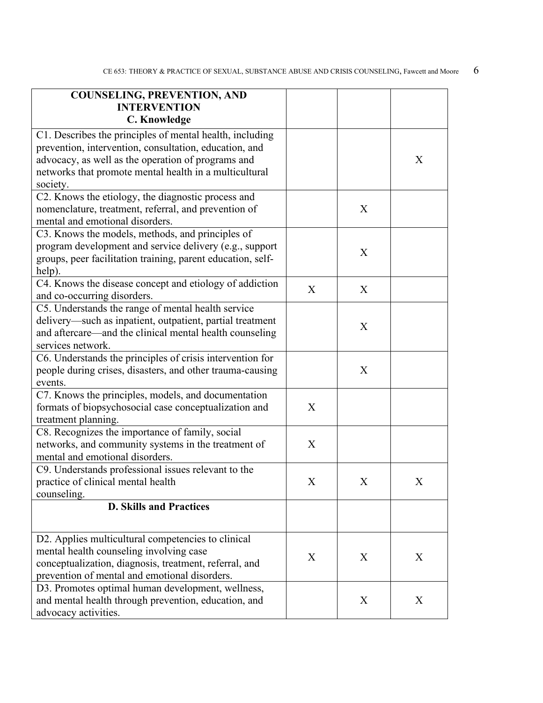| <b>COUNSELING, PREVENTION, AND</b><br><b>INTERVENTION</b>                                                                                                                                                                                      |   |   |   |
|------------------------------------------------------------------------------------------------------------------------------------------------------------------------------------------------------------------------------------------------|---|---|---|
| C. Knowledge                                                                                                                                                                                                                                   |   |   |   |
| C1. Describes the principles of mental health, including<br>prevention, intervention, consultation, education, and<br>advocacy, as well as the operation of programs and<br>networks that promote mental health in a multicultural<br>society. |   |   | X |
| C2. Knows the etiology, the diagnostic process and<br>nomenclature, treatment, referral, and prevention of<br>mental and emotional disorders.                                                                                                  |   | X |   |
| C3. Knows the models, methods, and principles of<br>program development and service delivery (e.g., support<br>groups, peer facilitation training, parent education, self-<br>help).                                                           |   | X |   |
| C4. Knows the disease concept and etiology of addiction<br>and co-occurring disorders.                                                                                                                                                         | X | X |   |
| C5. Understands the range of mental health service<br>delivery—such as inpatient, outpatient, partial treatment<br>and aftercare—and the clinical mental health counseling<br>services network.                                                |   | X |   |
| C6. Understands the principles of crisis intervention for<br>people during crises, disasters, and other trauma-causing<br>events.                                                                                                              |   | X |   |
| C7. Knows the principles, models, and documentation<br>formats of biopsychosocial case conceptualization and<br>treatment planning.                                                                                                            | X |   |   |
| C8. Recognizes the importance of family, social<br>networks, and community systems in the treatment of<br>mental and emotional disorders.                                                                                                      | X |   |   |
| C9. Understands professional issues relevant to the<br>practice of clinical mental health<br>counseling.                                                                                                                                       | X | X | X |
| <b>D. Skills and Practices</b>                                                                                                                                                                                                                 |   |   |   |
| D2. Applies multicultural competencies to clinical<br>mental health counseling involving case<br>conceptualization, diagnosis, treatment, referral, and<br>prevention of mental and emotional disorders.                                       | X | X | X |
| D3. Promotes optimal human development, wellness,<br>and mental health through prevention, education, and<br>advocacy activities.                                                                                                              |   | X | X |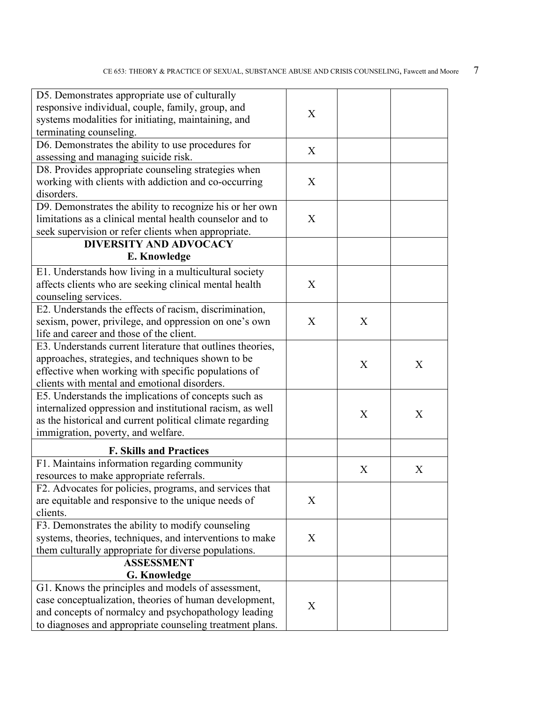| D5. Demonstrates appropriate use of culturally             |   |   |   |  |
|------------------------------------------------------------|---|---|---|--|
| responsive individual, couple, family, group, and          |   |   |   |  |
| systems modalities for initiating, maintaining, and        | X |   |   |  |
| terminating counseling.                                    |   |   |   |  |
| D6. Demonstrates the ability to use procedures for         |   |   |   |  |
| assessing and managing suicide risk.                       | X |   |   |  |
| D8. Provides appropriate counseling strategies when        |   |   |   |  |
| working with clients with addiction and co-occurring       | X |   |   |  |
| disorders.                                                 |   |   |   |  |
| D9. Demonstrates the ability to recognize his or her own   |   |   |   |  |
| limitations as a clinical mental health counselor and to   | X |   |   |  |
| seek supervision or refer clients when appropriate.        |   |   |   |  |
| <b>DIVERSITY AND ADVOCACY</b>                              |   |   |   |  |
| E. Knowledge                                               |   |   |   |  |
| E1. Understands how living in a multicultural society      |   |   |   |  |
| affects clients who are seeking clinical mental health     | X |   |   |  |
| counseling services.                                       |   |   |   |  |
| E2. Understands the effects of racism, discrimination,     |   |   |   |  |
| sexism, power, privilege, and oppression on one's own      | X | X |   |  |
| life and career and those of the client.                   |   |   |   |  |
| E3. Understands current literature that outlines theories, |   |   |   |  |
| approaches, strategies, and techniques shown to be         |   |   |   |  |
| effective when working with specific populations of        |   | X | X |  |
| clients with mental and emotional disorders.               |   |   |   |  |
| E5. Understands the implications of concepts such as       |   |   |   |  |
| internalized oppression and institutional racism, as well  |   |   |   |  |
| as the historical and current political climate regarding  |   | X | X |  |
| immigration, poverty, and welfare.                         |   |   |   |  |
| <b>F. Skills and Practices</b>                             |   |   |   |  |
| F1. Maintains information regarding community              |   |   |   |  |
| resources to make appropriate referrals.                   |   | X | X |  |
| F2. Advocates for policies, programs, and services that    |   |   |   |  |
| are equitable and responsive to the unique needs of        | X |   |   |  |
| clients.                                                   |   |   |   |  |
| F3. Demonstrates the ability to modify counseling          |   |   |   |  |
| systems, theories, techniques, and interventions to make   | X |   |   |  |
| them culturally appropriate for diverse populations.       |   |   |   |  |
| <b>ASSESSMENT</b>                                          |   |   |   |  |
| <b>G. Knowledge</b>                                        |   |   |   |  |
|                                                            |   |   |   |  |
| G1. Knows the principles and models of assessment,         |   |   |   |  |
| case conceptualization, theories of human development,     | X |   |   |  |
| and concepts of normalcy and psychopathology leading       |   |   |   |  |
| to diagnoses and appropriate counseling treatment plans.   |   |   |   |  |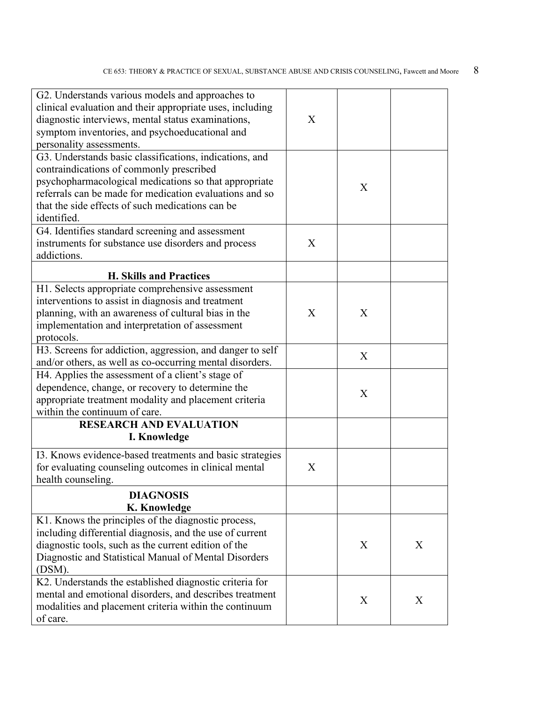| G2. Understands various models and approaches to<br>clinical evaluation and their appropriate uses, including<br>diagnostic interviews, mental status examinations,<br>symptom inventories, and psychoeducational and<br>personality assessments.                                          | X |   |   |
|--------------------------------------------------------------------------------------------------------------------------------------------------------------------------------------------------------------------------------------------------------------------------------------------|---|---|---|
| G3. Understands basic classifications, indications, and<br>contraindications of commonly prescribed<br>psychopharmacological medications so that appropriate<br>referrals can be made for medication evaluations and so<br>that the side effects of such medications can be<br>identified. |   | X |   |
| G4. Identifies standard screening and assessment<br>instruments for substance use disorders and process<br>addictions.                                                                                                                                                                     | X |   |   |
| <b>H. Skills and Practices</b>                                                                                                                                                                                                                                                             |   |   |   |
| H1. Selects appropriate comprehensive assessment<br>interventions to assist in diagnosis and treatment<br>planning, with an awareness of cultural bias in the<br>implementation and interpretation of assessment<br>protocols.                                                             | X | X |   |
| H3. Screens for addiction, aggression, and danger to self<br>and/or others, as well as co-occurring mental disorders.                                                                                                                                                                      |   | X |   |
| H4. Applies the assessment of a client's stage of<br>dependence, change, or recovery to determine the<br>appropriate treatment modality and placement criteria<br>within the continuum of care.                                                                                            |   | X |   |
| <b>RESEARCH AND EVALUATION</b>                                                                                                                                                                                                                                                             |   |   |   |
| I. Knowledge                                                                                                                                                                                                                                                                               |   |   |   |
| I3. Knows evidence-based treatments and basic strategies<br>for evaluating counseling outcomes in clinical mental<br>health counseling.                                                                                                                                                    | X |   |   |
| <b>DIAGNOSIS</b><br>K. Knowledge                                                                                                                                                                                                                                                           |   |   |   |
| K1. Knows the principles of the diagnostic process,<br>including differential diagnosis, and the use of current<br>diagnostic tools, such as the current edition of the<br>Diagnostic and Statistical Manual of Mental Disorders<br>(DSM).                                                 |   | X | X |
| K2. Understands the established diagnostic criteria for<br>mental and emotional disorders, and describes treatment<br>modalities and placement criteria within the continuum<br>of care.                                                                                                   |   | X | X |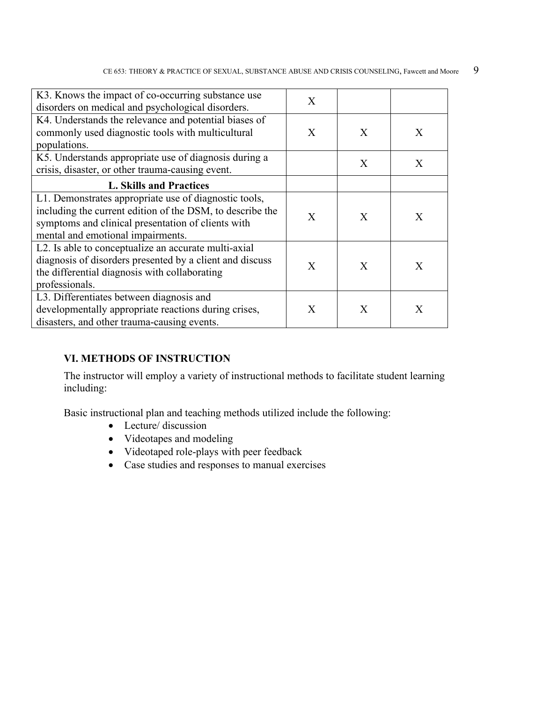| K3. Knows the impact of co-occurring substance use<br>disorders on medical and psychological disorders.                                                                                                       | X |              |   |
|---------------------------------------------------------------------------------------------------------------------------------------------------------------------------------------------------------------|---|--------------|---|
| K4. Understands the relevance and potential biases of<br>commonly used diagnostic tools with multicultural<br>populations.                                                                                    | X | X            | X |
| K5. Understands appropriate use of diagnosis during a<br>crisis, disaster, or other trauma-causing event.                                                                                                     |   | X            | X |
| <b>L. Skills and Practices</b>                                                                                                                                                                                |   |              |   |
| L1. Demonstrates appropriate use of diagnostic tools,<br>including the current edition of the DSM, to describe the<br>symptoms and clinical presentation of clients with<br>mental and emotional impairments. | X | X            | X |
| L2. Is able to conceptualize an accurate multi-axial<br>diagnosis of disorders presented by a client and discuss<br>the differential diagnosis with collaborating<br>professionals.                           | X | $\mathbf{X}$ | X |
| L3. Differentiates between diagnosis and<br>developmentally appropriate reactions during crises,<br>disasters, and other trauma-causing events.                                                               | X | X            | X |

#### **VI. METHODS OF INSTRUCTION**

The instructor will employ a variety of instructional methods to facilitate student learning including:

Basic instructional plan and teaching methods utilized include the following:

- Lecture/ discussion
- Videotapes and modeling
- Videotaped role-plays with peer feedback
- Case studies and responses to manual exercises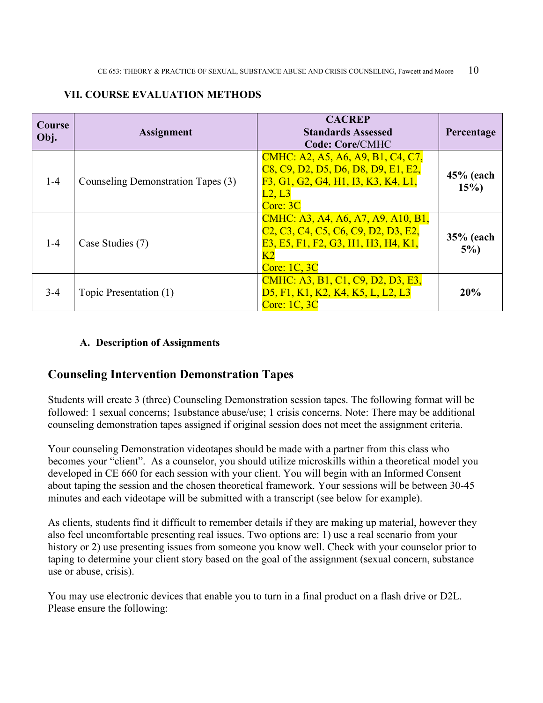#### **VII. COURSE EVALUATION METHODS**

| Course<br>Obj. | <b>Assignment</b>                  | <b>CACREP</b><br><b>Standards Assessed</b><br><b>Code: Core/CMHC</b>                                                                                                                                                                                                           | Percentage           |
|----------------|------------------------------------|--------------------------------------------------------------------------------------------------------------------------------------------------------------------------------------------------------------------------------------------------------------------------------|----------------------|
| $1 - 4$        | Counseling Demonstration Tapes (3) | CMHC: A2, A5, A6, A9, B1, C4, C7,<br>C <sub>8</sub> , C <sub>9</sub> , D <sub>2</sub> , D <sub>5</sub> , D <sub>6</sub> , D <sub>8</sub> , D <sub>9</sub> , E <sub>1</sub> , E <sub>2</sub> ,<br>F3, G1, G2, G4, H1, I3, K3, K4, L1,<br>L2, L3<br>Core: 3C                     | $45%$ (each<br>15%   |
| $1 - 4$        | Case Studies (7)                   | CMHC: A3, A4, A6, A7, A9, A10, B1,<br>C <sub>2</sub> , C <sub>3</sub> , C <sub>4</sub> , C <sub>5</sub> , C <sub>6</sub> , C <sub>9</sub> , D <sub>2</sub> , D <sub>3</sub> , E <sub>2</sub> ,<br>E3, E5, F1, F2, G3, H1, H3, H4, K1,<br>K <sub>2</sub><br><b>Core: 1C, 3C</b> | $35%$ (each<br>$5\%$ |
| $3 - 4$        | Topic Presentation (1)             | CMHC: A3, B1, C1, C9, D2, D3, E3,<br>D5, F1, K1, K2, K4, K5, L, L2, L3<br>Core: $1C$ , $3C$                                                                                                                                                                                    | 20%                  |

#### **A. Description of Assignments**

### **Counseling Intervention Demonstration Tapes**

Students will create 3 (three) Counseling Demonstration session tapes. The following format will be followed: 1 sexual concerns; 1substance abuse/use; 1 crisis concerns. Note: There may be additional counseling demonstration tapes assigned if original session does not meet the assignment criteria.

Your counseling Demonstration videotapes should be made with a partner from this class who becomes your "client". As a counselor, you should utilize microskills within a theoretical model you developed in CE 660 for each session with your client. You will begin with an Informed Consent about taping the session and the chosen theoretical framework. Your sessions will be between 30-45 minutes and each videotape will be submitted with a transcript (see below for example).

As clients, students find it difficult to remember details if they are making up material, however they also feel uncomfortable presenting real issues. Two options are: 1) use a real scenario from your history or 2) use presenting issues from someone you know well. Check with your counselor prior to taping to determine your client story based on the goal of the assignment (sexual concern, substance use or abuse, crisis).

You may use electronic devices that enable you to turn in a final product on a flash drive or D2L. Please ensure the following: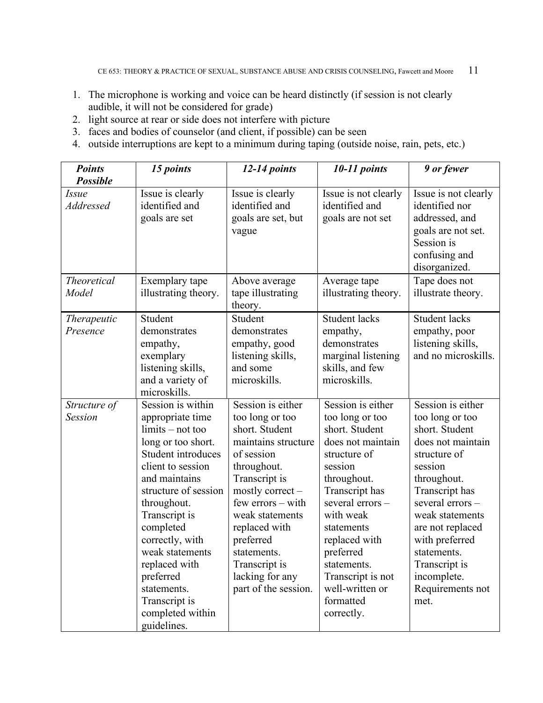- 1. The microphone is working and voice can be heard distinctly (if session is not clearly audible, it will not be considered for grade)
- 2. light source at rear or side does not interfere with picture
- 3. faces and bodies of counselor (and client, if possible) can be seen
- 4. outside interruptions are kept to a minimum during taping (outside noise, rain, pets, etc.)

| <b>Points</b>                                | 15 points                                                                                                                                                                                                                                                                                                                                                 | 12-14 points                                                                                                                                                                                                                                                                                     | $10-11$ points                                                                                                                                                                                                                                                                                        | 9 or fewer                                                                                                                                                                                                                                                                                     |
|----------------------------------------------|-----------------------------------------------------------------------------------------------------------------------------------------------------------------------------------------------------------------------------------------------------------------------------------------------------------------------------------------------------------|--------------------------------------------------------------------------------------------------------------------------------------------------------------------------------------------------------------------------------------------------------------------------------------------------|-------------------------------------------------------------------------------------------------------------------------------------------------------------------------------------------------------------------------------------------------------------------------------------------------------|------------------------------------------------------------------------------------------------------------------------------------------------------------------------------------------------------------------------------------------------------------------------------------------------|
| <b>Possible</b><br><i>Issue</i><br>Addressed | Issue is clearly<br>identified and<br>goals are set                                                                                                                                                                                                                                                                                                       | Issue is clearly<br>identified and<br>goals are set, but<br>vague                                                                                                                                                                                                                                | Issue is not clearly<br>identified and<br>goals are not set                                                                                                                                                                                                                                           | Issue is not clearly<br>identified nor<br>addressed, and<br>goals are not set.<br>Session is<br>confusing and                                                                                                                                                                                  |
| <b>Theoretical</b><br>Model                  | Exemplary tape<br>illustrating theory.                                                                                                                                                                                                                                                                                                                    | Above average<br>tape illustrating<br>theory.                                                                                                                                                                                                                                                    | Average tape<br>illustrating theory.                                                                                                                                                                                                                                                                  | disorganized.<br>Tape does not<br>illustrate theory.                                                                                                                                                                                                                                           |
| <i>Therapeutic</i><br>Presence               | Student<br>demonstrates<br>empathy,<br>exemplary<br>listening skills,<br>and a variety of<br>microskills.                                                                                                                                                                                                                                                 | Student<br>demonstrates<br>empathy, good<br>listening skills,<br>and some<br>microskills.                                                                                                                                                                                                        | <b>Student lacks</b><br>empathy,<br>demonstrates<br>marginal listening<br>skills, and few<br>microskills.                                                                                                                                                                                             | <b>Student lacks</b><br>empathy, poor<br>listening skills,<br>and no microskills.                                                                                                                                                                                                              |
| Structure of<br><b>Session</b>               | Session is within<br>appropriate time<br>$limits - not too$<br>long or too short.<br>Student introduces<br>client to session<br>and maintains<br>structure of session<br>throughout.<br>Transcript is<br>completed<br>correctly, with<br>weak statements<br>replaced with<br>preferred<br>statements.<br>Transcript is<br>completed within<br>guidelines. | Session is either<br>too long or too<br>short. Student<br>maintains structure<br>of session<br>throughout.<br>Transcript is<br>mostly correct -<br>few errors - with<br>weak statements<br>replaced with<br>preferred<br>statements.<br>Transcript is<br>lacking for any<br>part of the session. | Session is either<br>too long or too<br>short. Student<br>does not maintain<br>structure of<br>session<br>throughout.<br>Transcript has<br>several errors-<br>with weak<br>statements<br>replaced with<br>preferred<br>statements.<br>Transcript is not<br>well-written or<br>formatted<br>correctly. | Session is either<br>too long or too<br>short. Student<br>does not maintain<br>structure of<br>session<br>throughout.<br>Transcript has<br>several errors-<br>weak statements<br>are not replaced<br>with preferred<br>statements.<br>Transcript is<br>incomplete.<br>Requirements not<br>met. |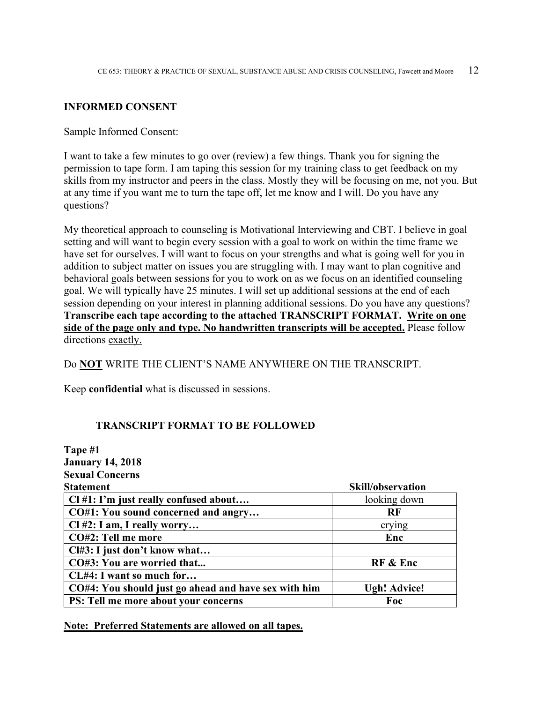#### **INFORMED CONSENT**

Sample Informed Consent:

I want to take a few minutes to go over (review) a few things. Thank you for signing the permission to tape form. I am taping this session for my training class to get feedback on my skills from my instructor and peers in the class. Mostly they will be focusing on me, not you. But at any time if you want me to turn the tape off, let me know and I will. Do you have any questions?

My theoretical approach to counseling is Motivational Interviewing and CBT. I believe in goal setting and will want to begin every session with a goal to work on within the time frame we have set for ourselves. I will want to focus on your strengths and what is going well for you in addition to subject matter on issues you are struggling with. I may want to plan cognitive and behavioral goals between sessions for you to work on as we focus on an identified counseling goal. We will typically have 25 minutes. I will set up additional sessions at the end of each session depending on your interest in planning additional sessions. Do you have any questions? **Transcribe each tape according to the attached TRANSCRIPT FORMAT. Write on one side of the page only and type. No handwritten transcripts will be accepted.** Please follow directions exactly.

Do **NOT** WRITE THE CLIENT'S NAME ANYWHERE ON THE TRANSCRIPT.

Keep **confidential** what is discussed in sessions.

#### **TRANSCRIPT FORMAT TO BE FOLLOWED**

| Tape #1                                              |                          |
|------------------------------------------------------|--------------------------|
| <b>January 14, 2018</b>                              |                          |
| <b>Sexual Concerns</b>                               |                          |
| <b>Statement</b>                                     | <b>Skill/observation</b> |
| $Cl#1$ : I'm just really confused about              | looking down             |
| CO#1: You sound concerned and angry                  | <b>RF</b>                |
| Cl #2: I am, I really worry                          | crying                   |
| CO#2: Tell me more                                   | Enc                      |
| Cl#3: I just don't know what                         |                          |
| CO#3: You are worried that                           | RF & Enc                 |
| CL#4: I want so much for                             |                          |
| CO#4: You should just go ahead and have sex with him | <b>Ugh! Advice!</b>      |
| <b>PS:</b> Tell me more about your concerns          | Foc                      |

**Note: Preferred Statements are allowed on all tapes.**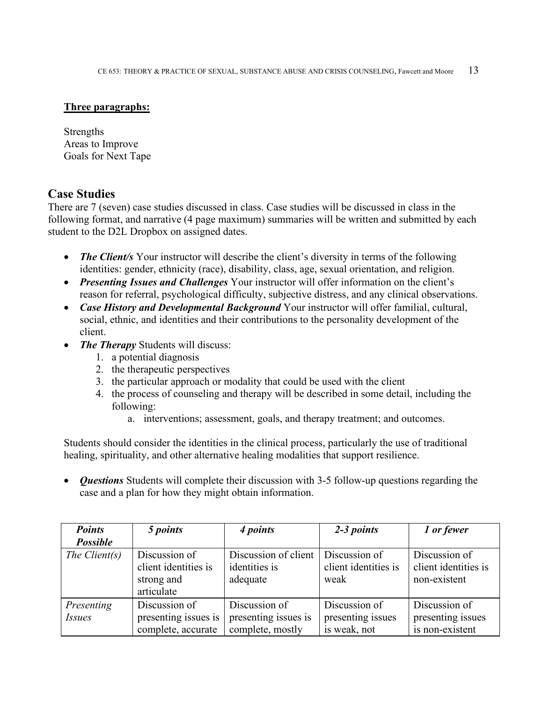#### **Three paragraphs:**

Strengths Areas to Improve Goals for Next Tape

#### **Case Studies**

There are 7 (seven) case studies discussed in class. Case studies will be discussed in class in the following format, and narrative (4 page maximum) summaries will be written and submitted by each student to the D2L Dropbox on assigned dates.

- *The Client's* Your instructor will describe the client's diversity in terms of the following identities: gender, ethnicity (race), disability, class, age, sexual orientation, and religion.
- *Presenting Issues and Challenges* Your instructor will offer information on the client's reason for referral, psychological difficulty, subjective distress, and any clinical observations.
- *Case History and Developmental Background* Your instructor will offer familial, cultural, social, ethnic, and identities and their contributions to the personality development of the client.
- *The Therapy* Students will discuss:
	- 1. a potential diagnosis
	- 2. the therapeutic perspectives
	- 3. the particular approach or modality that could be used with the client
	- 4. the process of counseling and therapy will be described in some detail, including the following:
		- a. interventions; assessment, goals, and therapy treatment; and outcomes.

Students should consider the identities in the clinical process, particularly the use of traditional healing, spirituality, and other alternative healing modalities that support resilience.

• *Questions* Students will complete their discussion with 3-5 follow-up questions regarding the case and a plan for how they might obtain information.

| <b>Points</b>               | 5 points                                                          | 4 points                                                  | 2-3 points                                         | 1 or fewer                                            |
|-----------------------------|-------------------------------------------------------------------|-----------------------------------------------------------|----------------------------------------------------|-------------------------------------------------------|
| <b>Possible</b>             |                                                                   |                                                           |                                                    |                                                       |
| The Client $(s)$            | Discussion of<br>client identities is<br>strong and<br>articulate | Discussion of client<br>identities is<br>adequate         | Discussion of<br>client identities is<br>weak      | Discussion of<br>client identities is<br>non-existent |
| Presenting<br><i>Issues</i> | Discussion of<br>presenting issues is<br>complete, accurate       | Discussion of<br>presenting issues is<br>complete, mostly | Discussion of<br>presenting issues<br>is weak, not | Discussion of<br>presenting issues<br>is non-existent |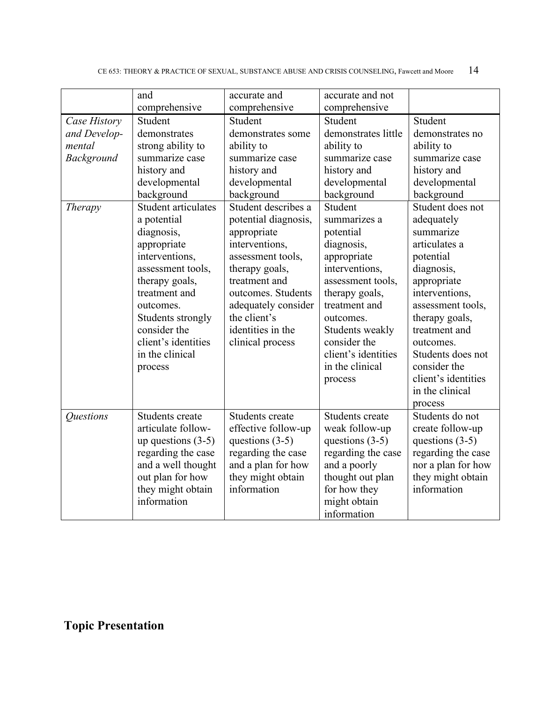|                                                                 | and                                                                                                                                                                                                                                                                                                                                                                               | accurate and                                                                                                                                                                                                                                                                                                                                                              | accurate and not                                                                                                                                                                                                                                                                                                                                                                  |                                                                                                                                                                                                                                                                                                                                                                                          |
|-----------------------------------------------------------------|-----------------------------------------------------------------------------------------------------------------------------------------------------------------------------------------------------------------------------------------------------------------------------------------------------------------------------------------------------------------------------------|---------------------------------------------------------------------------------------------------------------------------------------------------------------------------------------------------------------------------------------------------------------------------------------------------------------------------------------------------------------------------|-----------------------------------------------------------------------------------------------------------------------------------------------------------------------------------------------------------------------------------------------------------------------------------------------------------------------------------------------------------------------------------|------------------------------------------------------------------------------------------------------------------------------------------------------------------------------------------------------------------------------------------------------------------------------------------------------------------------------------------------------------------------------------------|
| Case History<br>and Develop-<br>mental<br>Background<br>Therapy | comprehensive<br>Student<br>demonstrates<br>strong ability to<br>summarize case<br>history and<br>developmental<br>background<br>Student articulates<br>a potential<br>diagnosis,<br>appropriate<br>interventions,<br>assessment tools,<br>therapy goals,<br>treatment and<br>outcomes.<br>Students strongly<br>consider the<br>client's identities<br>in the clinical<br>process | comprehensive<br>Student<br>demonstrates some<br>ability to<br>summarize case<br>history and<br>developmental<br>background<br>Student describes a<br>potential diagnosis,<br>appropriate<br>interventions,<br>assessment tools,<br>therapy goals,<br>treatment and<br>outcomes. Students<br>adequately consider<br>the client's<br>identities in the<br>clinical process | comprehensive<br>Student<br>demonstrates little<br>ability to<br>summarize case<br>history and<br>developmental<br>background<br>Student<br>summarizes a<br>potential<br>diagnosis,<br>appropriate<br>interventions,<br>assessment tools,<br>therapy goals,<br>treatment and<br>outcomes.<br>Students weakly<br>consider the<br>client's identities<br>in the clinical<br>process | Student<br>demonstrates no<br>ability to<br>summarize case<br>history and<br>developmental<br>background<br>Student does not<br>adequately<br>summarize<br>articulates a<br>potential<br>diagnosis,<br>appropriate<br>interventions,<br>assessment tools,<br>therapy goals,<br>treatment and<br>outcomes.<br>Students does not<br>consider the<br>client's identities<br>in the clinical |
| Questions                                                       | Students create<br>articulate follow-<br>up questions $(3-5)$<br>regarding the case<br>and a well thought<br>out plan for how<br>they might obtain<br>information                                                                                                                                                                                                                 | Students create<br>effective follow-up<br>questions $(3-5)$<br>regarding the case<br>and a plan for how<br>they might obtain<br>information                                                                                                                                                                                                                               | Students create<br>weak follow-up<br>questions $(3-5)$<br>regarding the case<br>and a poorly<br>thought out plan<br>for how they<br>might obtain<br>information                                                                                                                                                                                                                   | process<br>Students do not<br>create follow-up<br>questions $(3-5)$<br>regarding the case<br>nor a plan for how<br>they might obtain<br>information                                                                                                                                                                                                                                      |

# **Topic Presentation**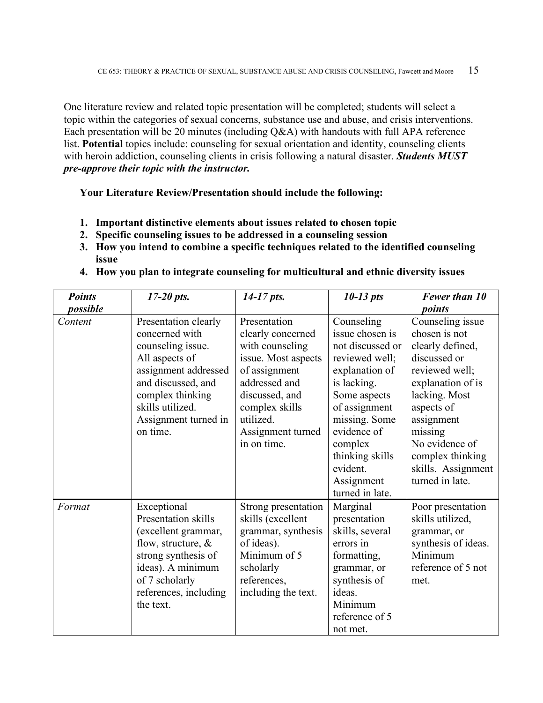One literature review and related topic presentation will be completed; students will select a topic within the categories of sexual concerns, substance use and abuse, and crisis interventions. Each presentation will be 20 minutes (including Q&A) with handouts with full APA reference list. **Potential** topics include: counseling for sexual orientation and identity, counseling clients with heroin addiction, counseling clients in crisis following a natural disaster. *Students MUST pre-approve their topic with the instructor.*

**Your Literature Review/Presentation should include the following:**

- **1. Important distinctive elements about issues related to chosen topic**
- **2. Specific counseling issues to be addressed in a counseling session**
- **3. How you intend to combine a specific techniques related to the identified counseling issue**
- **4. How you plan to integrate counseling for multicultural and ethnic diversity issues**

| <b>Points</b> | $17-20$ pts.                                                                                                                                                                                            | $14-17$ pts.                                                                                                                                                                                       | $10-13$ pts                                                                                                                                                                                                                                      | Fewer than 10                                                                                                                                                                                                                                       |
|---------------|---------------------------------------------------------------------------------------------------------------------------------------------------------------------------------------------------------|----------------------------------------------------------------------------------------------------------------------------------------------------------------------------------------------------|--------------------------------------------------------------------------------------------------------------------------------------------------------------------------------------------------------------------------------------------------|-----------------------------------------------------------------------------------------------------------------------------------------------------------------------------------------------------------------------------------------------------|
| possible      |                                                                                                                                                                                                         |                                                                                                                                                                                                    |                                                                                                                                                                                                                                                  | points                                                                                                                                                                                                                                              |
| Content       | Presentation clearly<br>concerned with<br>counseling issue.<br>All aspects of<br>assignment addressed<br>and discussed, and<br>complex thinking<br>skills utilized.<br>Assignment turned in<br>on time. | Presentation<br>clearly concerned<br>with counseling<br>issue. Most aspects<br>of assignment<br>addressed and<br>discussed, and<br>complex skills<br>utilized.<br>Assignment turned<br>in on time. | Counseling<br>issue chosen is<br>not discussed or<br>reviewed well;<br>explanation of<br>is lacking.<br>Some aspects<br>of assignment<br>missing. Some<br>evidence of<br>complex<br>thinking skills<br>evident.<br>Assignment<br>turned in late. | Counseling issue<br>chosen is not<br>clearly defined,<br>discussed or<br>reviewed well;<br>explanation of is<br>lacking. Most<br>aspects of<br>assignment<br>missing<br>No evidence of<br>complex thinking<br>skills. Assignment<br>turned in late. |
| Format        | Exceptional<br>Presentation skills<br>(excellent grammar,<br>flow, structure, $\&$<br>strong synthesis of<br>ideas). A minimum<br>of 7 scholarly<br>references, including<br>the text.                  | Strong presentation<br>skills (excellent<br>grammar, synthesis<br>of ideas).<br>Minimum of 5<br>scholarly<br>references,<br>including the text.                                                    | Marginal<br>presentation<br>skills, several<br>errors in<br>formatting,<br>grammar, or<br>synthesis of<br>ideas.<br>Minimum<br>reference of 5<br>not met.                                                                                        | Poor presentation<br>skills utilized,<br>grammar, or<br>synthesis of ideas.<br>Minimum<br>reference of 5 not<br>met.                                                                                                                                |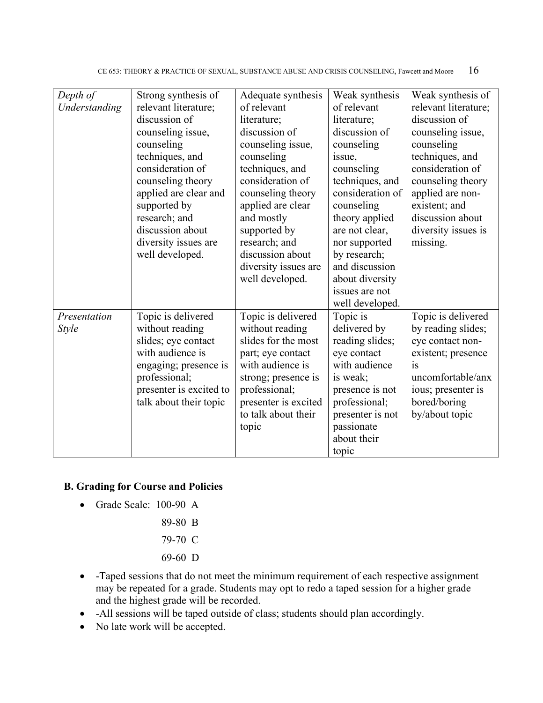CE 653: THEORY & PRACTICE OF SEXUAL, SUBSTANCE ABUSE AND CRISIS COUNSELING, Fawcett and Moore 16

| Depth of      | Strong synthesis of     | Adequate synthesis   | Weak synthesis   | Weak synthesis of    |
|---------------|-------------------------|----------------------|------------------|----------------------|
| Understanding | relevant literature;    | of relevant          | of relevant      | relevant literature; |
|               | discussion of           | literature;          | literature;      | discussion of        |
|               | counseling issue,       | discussion of        | discussion of    | counseling issue,    |
|               | counseling              | counseling issue,    | counseling       | counseling           |
|               | techniques, and         | counseling           | issue,           | techniques, and      |
|               | consideration of        | techniques, and      | counseling       | consideration of     |
|               | counseling theory       | consideration of     | techniques, and  | counseling theory    |
|               | applied are clear and   | counseling theory    | consideration of | applied are non-     |
|               | supported by            | applied are clear    | counseling       | existent; and        |
|               | research; and           | and mostly           | theory applied   | discussion about     |
|               | discussion about        | supported by         | are not clear,   | diversity issues is  |
|               | diversity issues are    | research; and        | nor supported    | missing.             |
|               | well developed.         | discussion about     | by research;     |                      |
|               |                         | diversity issues are | and discussion   |                      |
|               |                         | well developed.      | about diversity  |                      |
|               |                         |                      | issues are not   |                      |
|               |                         |                      | well developed.  |                      |
| Presentation  | Topic is delivered      | Topic is delivered   | Topic is         | Topic is delivered   |
| <b>Style</b>  | without reading         | without reading      | delivered by     | by reading slides;   |
|               | slides; eye contact     | slides for the most  | reading slides;  | eye contact non-     |
|               | with audience is        | part; eye contact    | eye contact      | existent; presence   |
|               | engaging; presence is   | with audience is     | with audience    | is                   |
|               | professional;           | strong; presence is  | is weak;         | uncomfortable/anx    |
|               | presenter is excited to | professional;        | presence is not  | ious; presenter is   |
|               | talk about their topic  | presenter is excited | professional;    | bored/boring         |
|               |                         | to talk about their  | presenter is not | by/about topic       |
|               |                         | topic                | passionate       |                      |
|               |                         |                      | about their      |                      |
|               |                         |                      | topic            |                      |

#### **B. Grading for Course and Policies**

- Grade Scale: 100-90 A
	- 89-80 B
	- 79-70 C
	- 69-60 D
- -Taped sessions that do not meet the minimum requirement of each respective assignment may be repeated for a grade. Students may opt to redo a taped session for a higher grade and the highest grade will be recorded.
- -All sessions will be taped outside of class; students should plan accordingly.
- No late work will be accepted.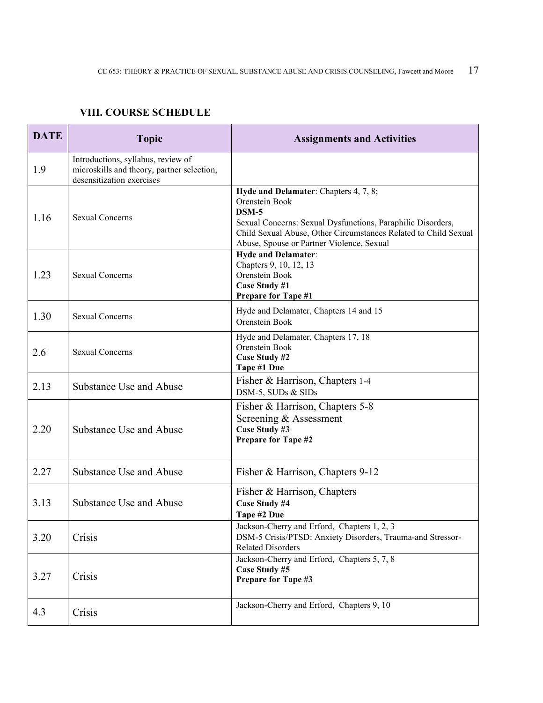### **VIII. COURSE SCHEDULE**

| <b>DATE</b> | <b>Topic</b>                                                                                                  | <b>Assignments and Activities</b>                                                                                                                                                                                                                 |  |
|-------------|---------------------------------------------------------------------------------------------------------------|---------------------------------------------------------------------------------------------------------------------------------------------------------------------------------------------------------------------------------------------------|--|
| 1.9         | Introductions, syllabus, review of<br>microskills and theory, partner selection,<br>desensitization exercises |                                                                                                                                                                                                                                                   |  |
| 1.16        | <b>Sexual Concerns</b>                                                                                        | Hyde and Delamater: Chapters 4, 7, 8;<br>Orenstein Book<br>$DSM-5$<br>Sexual Concerns: Sexual Dysfunctions, Paraphilic Disorders,<br>Child Sexual Abuse, Other Circumstances Related to Child Sexual<br>Abuse, Spouse or Partner Violence, Sexual |  |
| 1.23        | <b>Sexual Concerns</b>                                                                                        | <b>Hyde and Delamater:</b><br>Chapters 9, 10, 12, 13<br>Orenstein Book<br>Case Study #1<br><b>Prepare for Tape #1</b>                                                                                                                             |  |
| 1.30        | <b>Sexual Concerns</b>                                                                                        | Hyde and Delamater, Chapters 14 and 15<br>Orenstein Book                                                                                                                                                                                          |  |
| 2.6         | Sexual Concerns                                                                                               | Hyde and Delamater, Chapters 17, 18<br>Orenstein Book<br>Case Study #2<br>Tape #1 Due                                                                                                                                                             |  |
| 2.13        | Substance Use and Abuse                                                                                       | Fisher & Harrison, Chapters 1-4<br>DSM-5, SUDs & SIDs                                                                                                                                                                                             |  |
| 2.20        | Substance Use and Abuse                                                                                       | Fisher & Harrison, Chapters 5-8<br>Screening & Assessment<br>Case Study #3<br><b>Prepare for Tape #2</b>                                                                                                                                          |  |
| 2.27        | Substance Use and Abuse                                                                                       | Fisher & Harrison, Chapters 9-12                                                                                                                                                                                                                  |  |
| 3.13        | Substance Use and Abuse                                                                                       | Fisher & Harrison, Chapters<br>Case Study #4<br>Tape #2 Due                                                                                                                                                                                       |  |
| 3.20        | Crisis                                                                                                        | Jackson-Cherry and Erford, Chapters 1, 2, 3<br>DSM-5 Crisis/PTSD: Anxiety Disorders, Trauma-and Stressor-<br><b>Related Disorders</b>                                                                                                             |  |
| 3.27        | Crisis                                                                                                        | Jackson-Cherry and Erford, Chapters 5, 7, 8<br>Case Study #5<br>Prepare for Tape #3                                                                                                                                                               |  |
| 4.3         | Crisis                                                                                                        | Jackson-Cherry and Erford, Chapters 9, 10                                                                                                                                                                                                         |  |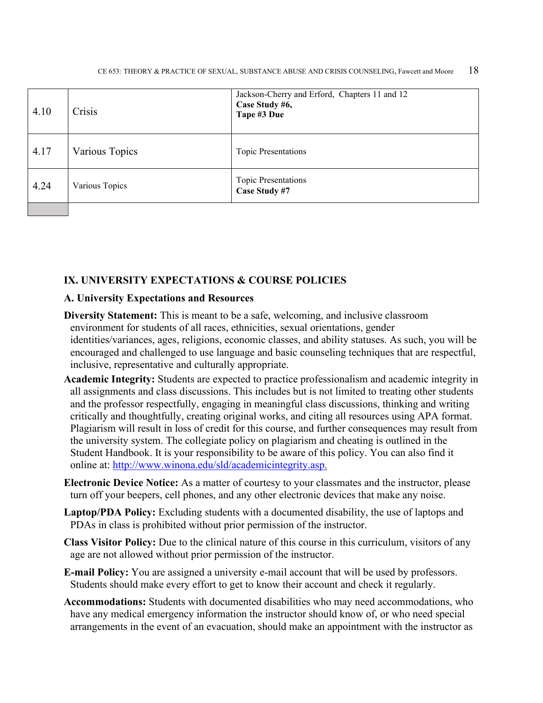| 4.10 | Crisis         | Jackson-Cherry and Erford, Chapters 11 and 12<br>Case Study #6,<br>Tape #3 Due |
|------|----------------|--------------------------------------------------------------------------------|
| 4.17 | Various Topics | <b>Topic Presentations</b>                                                     |
| 4.24 | Various Topics | <b>Topic Presentations</b><br>Case Study #7                                    |

#### **IX. UNIVERSITY EXPECTATIONS & COURSE POLICIES**

#### **A. University Expectations and Resources**

- **Diversity Statement:** This is meant to be a safe, welcoming, and inclusive classroom environment for students of all races, ethnicities, sexual orientations, gender identities/variances, ages, religions, economic classes, and ability statuses. As such, you will be encouraged and challenged to use language and basic counseling techniques that are respectful, inclusive, representative and culturally appropriate.
- **Academic Integrity:** Students are expected to practice professionalism and academic integrity in all assignments and class discussions. This includes but is not limited to treating other students and the professor respectfully, engaging in meaningful class discussions, thinking and writing critically and thoughtfully, creating original works, and citing all resources using APA format. Plagiarism will result in loss of credit for this course, and further consequences may result from the university system. The collegiate policy on plagiarism and cheating is outlined in the Student Handbook. It is your responsibility to be aware of this policy. You can also find it online at: [http://www.winona.edu/sld/academicintegrity.asp.](http://www.winona.edu/sld/academicintegrity.asp)
- **Electronic Device Notice:** As a matter of courtesy to your classmates and the instructor, please turn off your beepers, cell phones, and any other electronic devices that make any noise.
- **Laptop/PDA Policy:** Excluding students with a documented disability, the use of laptops and PDAs in class is prohibited without prior permission of the instructor.
- **Class Visitor Policy:** Due to the clinical nature of this course in this curriculum, visitors of any age are not allowed without prior permission of the instructor.
- **E-mail Policy:** You are assigned a university e-mail account that will be used by professors. Students should make every effort to get to know their account and check it regularly.
- **Accommodations:** Students with documented disabilities who may need accommodations, who have any medical emergency information the instructor should know of, or who need special arrangements in the event of an evacuation, should make an appointment with the instructor as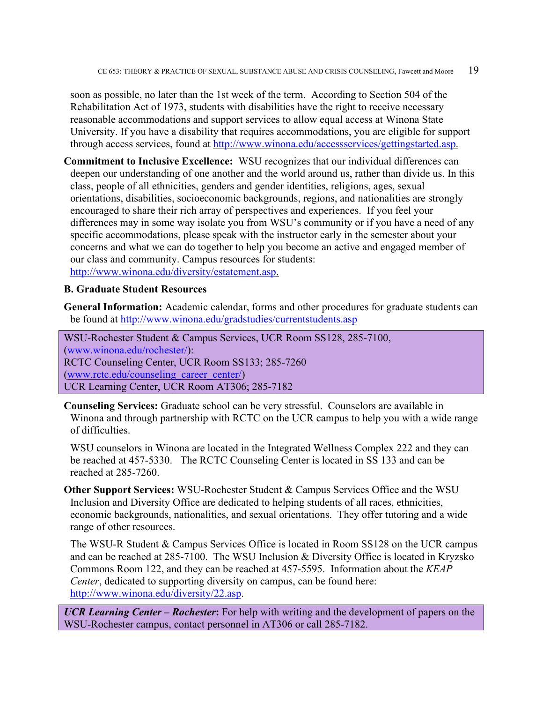soon as possible, no later than the 1st week of the term. According to Section 504 of the Rehabilitation Act of 1973, students with disabilities have the right to receive necessary reasonable accommodations and support services to allow equal access at Winona State University. If you have a disability that requires accommodations, you are eligible for support through access services, found at [http://www.winona.edu/accessservices/gettingstarted.asp.](http://www.winona.edu/accessservices/gettingstarted.asp)

**Commitment to Inclusive Excellence:** WSU recognizes that our individual differences can deepen our understanding of one another and the world around us, rather than divide us. In this class, people of all ethnicities, genders and gender identities, religions, ages, sexual orientations, disabilities, socioeconomic backgrounds, regions, and nationalities are strongly encouraged to share their rich array of perspectives and experiences. If you feel your differences may in some way isolate you from WSU's community or if you have a need of any specific accommodations, please speak with the instructor early in the semester about your concerns and what we can do together to help you become an active and engaged member of our class and community. Campus resources for students: [http://www.winona.edu/diversity/estatement.asp.](http://www.winona.edu/diversity/estatement.asp)

#### **B. Graduate Student Resources**

**General Information:** Academic calendar, forms and other procedures for graduate students can be found at<http://www.winona.edu/gradstudies/currentstudents.asp>

WSU-Rochester Student & Campus Services, UCR Room SS128, 285-7100, [\(www.winona.edu/rochester/\)](http://www.winona.edu/rochester/): RCTC Counseling Center, UCR Room SS133; 285-7260 [\(www.rctc.edu/counseling\\_career\\_center/\)](http://www.rctc.edu/counseling_career_center/) UCR Learning Center, UCR Room AT306; 285-7182

**Counseling Services:** Graduate school can be very stressful. Counselors are available in Winona and through partnership with RCTC on the UCR campus to help you with a wide range of difficulties.

WSU counselors in Winona are located in the Integrated Wellness Complex 222 and they can be reached at 457-5330. The RCTC Counseling Center is located in SS 133 and can be reached at 285-7260.

**Other Support Services:** WSU-Rochester Student & Campus Services Office and the WSU Inclusion and Diversity Office are dedicated to helping students of all races, ethnicities, economic backgrounds, nationalities, and sexual orientations. They offer tutoring and a wide range of other resources.

The WSU-R Student & Campus Services Office is located in Room SS128 on the UCR campus and can be reached at 285-7100. The WSU Inclusion & Diversity Office is located in Kryzsko Commons Room 122, and they can be reached at 457-5595. Information about the *KEAP Center*, dedicated to supporting diversity on campus, can be found here: [http://www.winona.edu/diversity/22.asp.](http://www.winona.edu/diversity/22.asp)

*UCR Learning Center – Rochester***:** For help with writing and the development of papers on the WSU-Rochester campus, contact personnel in AT306 or call 285-7182.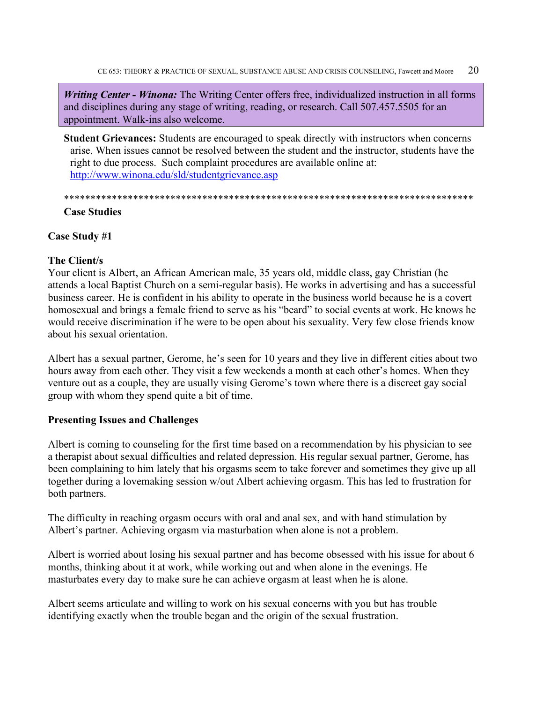CE 653: THEORY & PRACTICE OF SEXUAL, SUBSTANCE ABUSE AND CRISIS COUNSELING, Fawcett and Moore  $20$ 

*Writing Center - Winona:* The Writing Center offers free, individualized instruction in all forms and disciplines during any stage of writing, reading, or research. Call 507.457.5505 for an appointment. Walk-ins also welcome.

**Student Grievances:** Students are encouraged to speak directly with instructors when concerns arise. When issues cannot be resolved between the student and the instructor, students have the right to due process. Such complaint procedures are available online at: <http://www.winona.edu/sld/studentgrievance.asp>

\*\*\*\*\*\*\*\*\*\*\*\*\*\*\*\*\*\*\*\*\*\*\*\*\*\*\*\*\*\*\*\*\*\*\*\*\*\*\*\*\*\*\*\*\*\*\*\*\*\*\*\*\*\*\*\*\*\*\*\*\*\*\*\*\*\*\*\*\*\*\*\*\*\*\*\*\* **Case Studies**

# **Case Study #1**

#### **The Client/s**

Your client is Albert, an African American male, 35 years old, middle class, gay Christian (he attends a local Baptist Church on a semi-regular basis). He works in advertising and has a successful business career. He is confident in his ability to operate in the business world because he is a covert homosexual and brings a female friend to serve as his "beard" to social events at work. He knows he would receive discrimination if he were to be open about his sexuality. Very few close friends know about his sexual orientation.

Albert has a sexual partner, Gerome, he's seen for 10 years and they live in different cities about two hours away from each other. They visit a few weekends a month at each other's homes. When they venture out as a couple, they are usually vising Gerome's town where there is a discreet gay social group with whom they spend quite a bit of time.

#### **Presenting Issues and Challenges**

Albert is coming to counseling for the first time based on a recommendation by his physician to see a therapist about sexual difficulties and related depression. His regular sexual partner, Gerome, has been complaining to him lately that his orgasms seem to take forever and sometimes they give up all together during a lovemaking session w/out Albert achieving orgasm. This has led to frustration for both partners.

The difficulty in reaching orgasm occurs with oral and anal sex, and with hand stimulation by Albert's partner. Achieving orgasm via masturbation when alone is not a problem.

Albert is worried about losing his sexual partner and has become obsessed with his issue for about 6 months, thinking about it at work, while working out and when alone in the evenings. He masturbates every day to make sure he can achieve orgasm at least when he is alone.

Albert seems articulate and willing to work on his sexual concerns with you but has trouble identifying exactly when the trouble began and the origin of the sexual frustration.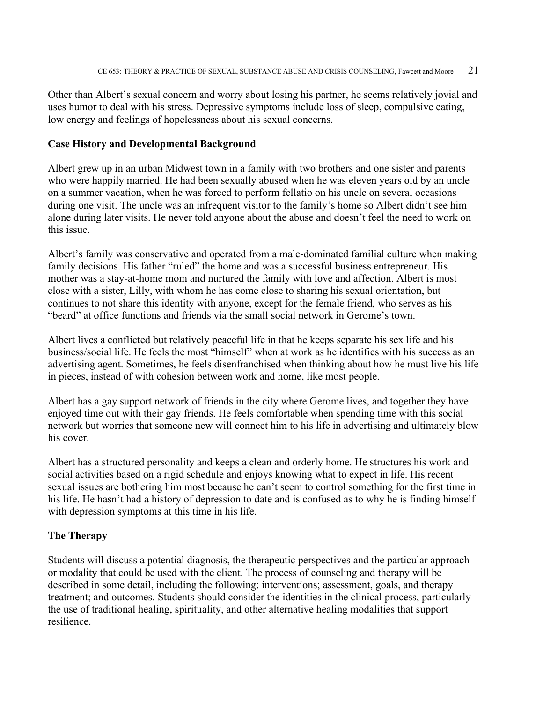Other than Albert's sexual concern and worry about losing his partner, he seems relatively jovial and uses humor to deal with his stress. Depressive symptoms include loss of sleep, compulsive eating, low energy and feelings of hopelessness about his sexual concerns.

#### **Case History and Developmental Background**

Albert grew up in an urban Midwest town in a family with two brothers and one sister and parents who were happily married. He had been sexually abused when he was eleven years old by an uncle on a summer vacation, when he was forced to perform fellatio on his uncle on several occasions during one visit. The uncle was an infrequent visitor to the family's home so Albert didn't see him alone during later visits. He never told anyone about the abuse and doesn't feel the need to work on this issue.

Albert's family was conservative and operated from a male-dominated familial culture when making family decisions. His father "ruled" the home and was a successful business entrepreneur. His mother was a stay-at-home mom and nurtured the family with love and affection. Albert is most close with a sister, Lilly, with whom he has come close to sharing his sexual orientation, but continues to not share this identity with anyone, except for the female friend, who serves as his "beard" at office functions and friends via the small social network in Gerome's town.

Albert lives a conflicted but relatively peaceful life in that he keeps separate his sex life and his business/social life. He feels the most "himself" when at work as he identifies with his success as an advertising agent. Sometimes, he feels disenfranchised when thinking about how he must live his life in pieces, instead of with cohesion between work and home, like most people.

Albert has a gay support network of friends in the city where Gerome lives, and together they have enjoyed time out with their gay friends. He feels comfortable when spending time with this social network but worries that someone new will connect him to his life in advertising and ultimately blow his cover.

Albert has a structured personality and keeps a clean and orderly home. He structures his work and social activities based on a rigid schedule and enjoys knowing what to expect in life. His recent sexual issues are bothering him most because he can't seem to control something for the first time in his life. He hasn't had a history of depression to date and is confused as to why he is finding himself with depression symptoms at this time in his life.

#### **The Therapy**

Students will discuss a potential diagnosis, the therapeutic perspectives and the particular approach or modality that could be used with the client. The process of counseling and therapy will be described in some detail, including the following: interventions; assessment, goals, and therapy treatment; and outcomes. Students should consider the identities in the clinical process, particularly the use of traditional healing, spirituality, and other alternative healing modalities that support resilience.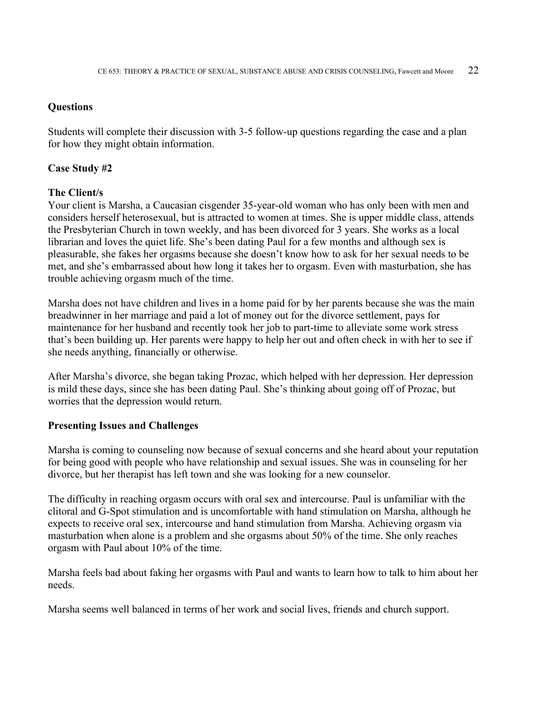#### **Questions**

Students will complete their discussion with 3-5 follow-up questions regarding the case and a plan for how they might obtain information.

#### **Case Study #2**

#### **The Client/s**

Your client is Marsha, a Caucasian cisgender 35-year-old woman who has only been with men and considers herself heterosexual, but is attracted to women at times. She is upper middle class, attends the Presbyterian Church in town weekly, and has been divorced for 3 years. She works as a local librarian and loves the quiet life. She's been dating Paul for a few months and although sex is pleasurable, she fakes her orgasms because she doesn't know how to ask for her sexual needs to be met, and she's embarrassed about how long it takes her to orgasm. Even with masturbation, she has trouble achieving orgasm much of the time.

Marsha does not have children and lives in a home paid for by her parents because she was the main breadwinner in her marriage and paid a lot of money out for the divorce settlement, pays for maintenance for her husband and recently took her job to part-time to alleviate some work stress that's been building up. Her parents were happy to help her out and often check in with her to see if she needs anything, financially or otherwise.

After Marsha's divorce, she began taking Prozac, which helped with her depression. Her depression is mild these days, since she has been dating Paul. She's thinking about going off of Prozac, but worries that the depression would return.

#### **Presenting Issues and Challenges**

Marsha is coming to counseling now because of sexual concerns and she heard about your reputation for being good with people who have relationship and sexual issues. She was in counseling for her divorce, but her therapist has left town and she was looking for a new counselor.

The difficulty in reaching orgasm occurs with oral sex and intercourse. Paul is unfamiliar with the clitoral and G-Spot stimulation and is uncomfortable with hand stimulation on Marsha, although he expects to receive oral sex, intercourse and hand stimulation from Marsha. Achieving orgasm via masturbation when alone is a problem and she orgasms about 50% of the time. She only reaches orgasm with Paul about 10% of the time.

Marsha feels bad about faking her orgasms with Paul and wants to learn how to talk to him about her needs.

Marsha seems well balanced in terms of her work and social lives, friends and church support.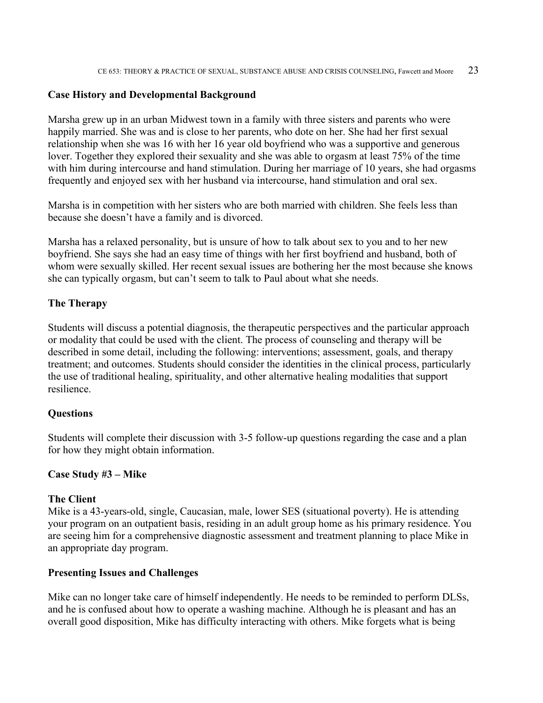#### **Case History and Developmental Background**

Marsha grew up in an urban Midwest town in a family with three sisters and parents who were happily married. She was and is close to her parents, who dote on her. She had her first sexual relationship when she was 16 with her 16 year old boyfriend who was a supportive and generous lover. Together they explored their sexuality and she was able to orgasm at least 75% of the time with him during intercourse and hand stimulation. During her marriage of 10 years, she had orgasms frequently and enjoyed sex with her husband via intercourse, hand stimulation and oral sex.

Marsha is in competition with her sisters who are both married with children. She feels less than because she doesn't have a family and is divorced.

Marsha has a relaxed personality, but is unsure of how to talk about sex to you and to her new boyfriend. She says she had an easy time of things with her first boyfriend and husband, both of whom were sexually skilled. Her recent sexual issues are bothering her the most because she knows she can typically orgasm, but can't seem to talk to Paul about what she needs.

#### **The Therapy**

Students will discuss a potential diagnosis, the therapeutic perspectives and the particular approach or modality that could be used with the client. The process of counseling and therapy will be described in some detail, including the following: interventions; assessment, goals, and therapy treatment; and outcomes. Students should consider the identities in the clinical process, particularly the use of traditional healing, spirituality, and other alternative healing modalities that support resilience.

#### **Questions**

Students will complete their discussion with 3-5 follow-up questions regarding the case and a plan for how they might obtain information.

#### **Case Study #3 – Mike**

#### **The Client**

Mike is a 43-years-old, single, Caucasian, male, lower SES (situational poverty). He is attending your program on an outpatient basis, residing in an adult group home as his primary residence. You are seeing him for a comprehensive diagnostic assessment and treatment planning to place Mike in an appropriate day program.

#### **Presenting Issues and Challenges**

Mike can no longer take care of himself independently. He needs to be reminded to perform DLSs, and he is confused about how to operate a washing machine. Although he is pleasant and has an overall good disposition, Mike has difficulty interacting with others. Mike forgets what is being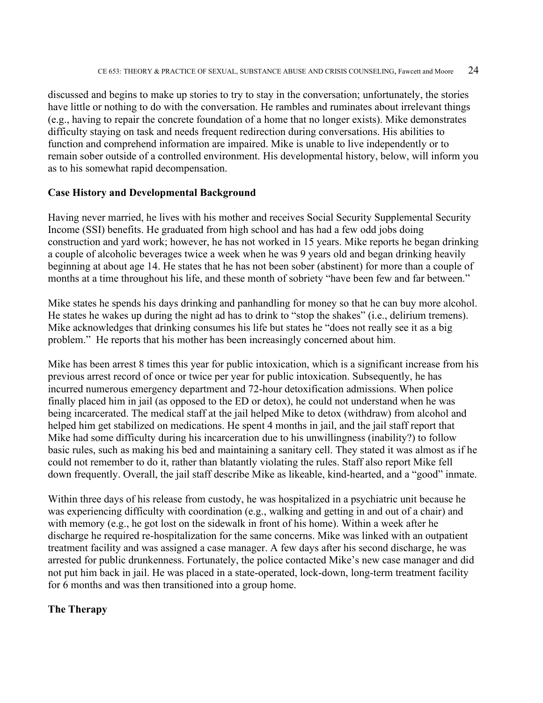discussed and begins to make up stories to try to stay in the conversation; unfortunately, the stories have little or nothing to do with the conversation. He rambles and ruminates about irrelevant things (e.g., having to repair the concrete foundation of a home that no longer exists). Mike demonstrates difficulty staying on task and needs frequent redirection during conversations. His abilities to function and comprehend information are impaired. Mike is unable to live independently or to remain sober outside of a controlled environment. His developmental history, below, will inform you as to his somewhat rapid decompensation.

#### **Case History and Developmental Background**

Having never married, he lives with his mother and receives Social Security Supplemental Security Income (SSI) benefits. He graduated from high school and has had a few odd jobs doing construction and yard work; however, he has not worked in 15 years. Mike reports he began drinking a couple of alcoholic beverages twice a week when he was 9 years old and began drinking heavily beginning at about age 14. He states that he has not been sober (abstinent) for more than a couple of months at a time throughout his life, and these month of sobriety "have been few and far between."

Mike states he spends his days drinking and panhandling for money so that he can buy more alcohol. He states he wakes up during the night ad has to drink to "stop the shakes" (i.e., delirium tremens). Mike acknowledges that drinking consumes his life but states he "does not really see it as a big problem." He reports that his mother has been increasingly concerned about him.

Mike has been arrest 8 times this year for public intoxication, which is a significant increase from his previous arrest record of once or twice per year for public intoxication. Subsequently, he has incurred numerous emergency department and 72-hour detoxification admissions. When police finally placed him in jail (as opposed to the ED or detox), he could not understand when he was being incarcerated. The medical staff at the jail helped Mike to detox (withdraw) from alcohol and helped him get stabilized on medications. He spent 4 months in jail, and the jail staff report that Mike had some difficulty during his incarceration due to his unwillingness (inability?) to follow basic rules, such as making his bed and maintaining a sanitary cell. They stated it was almost as if he could not remember to do it, rather than blatantly violating the rules. Staff also report Mike fell down frequently. Overall, the jail staff describe Mike as likeable, kind-hearted, and a "good" inmate.

Within three days of his release from custody, he was hospitalized in a psychiatric unit because he was experiencing difficulty with coordination (e.g., walking and getting in and out of a chair) and with memory (e.g., he got lost on the sidewalk in front of his home). Within a week after he discharge he required re-hospitalization for the same concerns. Mike was linked with an outpatient treatment facility and was assigned a case manager. A few days after his second discharge, he was arrested for public drunkenness. Fortunately, the police contacted Mike's new case manager and did not put him back in jail. He was placed in a state-operated, lock-down, long-term treatment facility for 6 months and was then transitioned into a group home.

#### **The Therapy**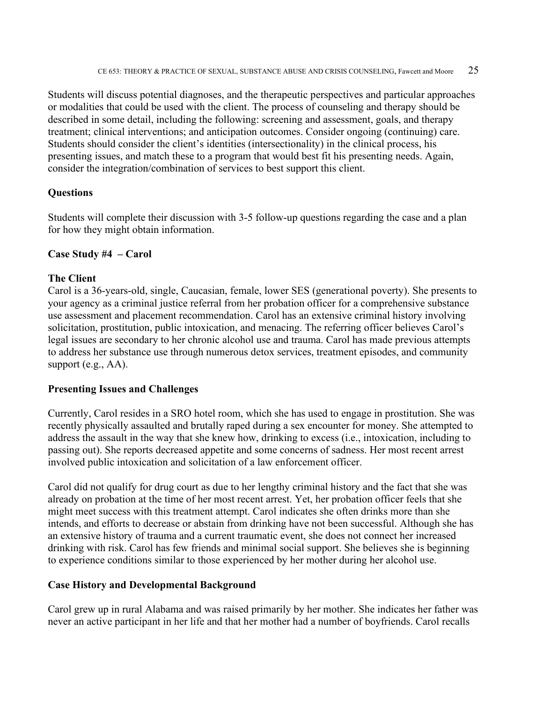Students will discuss potential diagnoses, and the therapeutic perspectives and particular approaches or modalities that could be used with the client. The process of counseling and therapy should be described in some detail, including the following: screening and assessment, goals, and therapy treatment; clinical interventions; and anticipation outcomes. Consider ongoing (continuing) care. Students should consider the client's identities (intersectionality) in the clinical process, his presenting issues, and match these to a program that would best fit his presenting needs. Again, consider the integration/combination of services to best support this client.

#### **Questions**

Students will complete their discussion with 3-5 follow-up questions regarding the case and a plan for how they might obtain information.

#### **Case Study #4 – Carol**

#### **The Client**

Carol is a 36-years-old, single, Caucasian, female, lower SES (generational poverty). She presents to your agency as a criminal justice referral from her probation officer for a comprehensive substance use assessment and placement recommendation. Carol has an extensive criminal history involving solicitation, prostitution, public intoxication, and menacing. The referring officer believes Carol's legal issues are secondary to her chronic alcohol use and trauma. Carol has made previous attempts to address her substance use through numerous detox services, treatment episodes, and community support (e.g., AA).

#### **Presenting Issues and Challenges**

Currently, Carol resides in a SRO hotel room, which she has used to engage in prostitution. She was recently physically assaulted and brutally raped during a sex encounter for money. She attempted to address the assault in the way that she knew how, drinking to excess (i.e., intoxication, including to passing out). She reports decreased appetite and some concerns of sadness. Her most recent arrest involved public intoxication and solicitation of a law enforcement officer.

Carol did not qualify for drug court as due to her lengthy criminal history and the fact that she was already on probation at the time of her most recent arrest. Yet, her probation officer feels that she might meet success with this treatment attempt. Carol indicates she often drinks more than she intends, and efforts to decrease or abstain from drinking have not been successful. Although she has an extensive history of trauma and a current traumatic event, she does not connect her increased drinking with risk. Carol has few friends and minimal social support. She believes she is beginning to experience conditions similar to those experienced by her mother during her alcohol use.

#### **Case History and Developmental Background**

Carol grew up in rural Alabama and was raised primarily by her mother. She indicates her father was never an active participant in her life and that her mother had a number of boyfriends. Carol recalls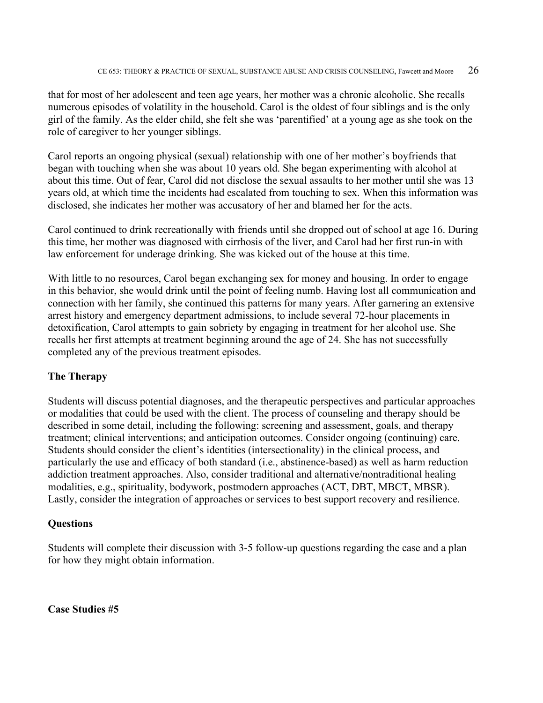that for most of her adolescent and teen age years, her mother was a chronic alcoholic. She recalls numerous episodes of volatility in the household. Carol is the oldest of four siblings and is the only girl of the family. As the elder child, she felt she was 'parentified' at a young age as she took on the role of caregiver to her younger siblings.

Carol reports an ongoing physical (sexual) relationship with one of her mother's boyfriends that began with touching when she was about 10 years old. She began experimenting with alcohol at about this time. Out of fear, Carol did not disclose the sexual assaults to her mother until she was 13 years old, at which time the incidents had escalated from touching to sex. When this information was disclosed, she indicates her mother was accusatory of her and blamed her for the acts.

Carol continued to drink recreationally with friends until she dropped out of school at age 16. During this time, her mother was diagnosed with cirrhosis of the liver, and Carol had her first run-in with law enforcement for underage drinking. She was kicked out of the house at this time.

With little to no resources, Carol began exchanging sex for money and housing. In order to engage in this behavior, she would drink until the point of feeling numb. Having lost all communication and connection with her family, she continued this patterns for many years. After garnering an extensive arrest history and emergency department admissions, to include several 72-hour placements in detoxification, Carol attempts to gain sobriety by engaging in treatment for her alcohol use. She recalls her first attempts at treatment beginning around the age of 24. She has not successfully completed any of the previous treatment episodes.

#### **The Therapy**

Students will discuss potential diagnoses, and the therapeutic perspectives and particular approaches or modalities that could be used with the client. The process of counseling and therapy should be described in some detail, including the following: screening and assessment, goals, and therapy treatment; clinical interventions; and anticipation outcomes. Consider ongoing (continuing) care. Students should consider the client's identities (intersectionality) in the clinical process, and particularly the use and efficacy of both standard (i.e., abstinence-based) as well as harm reduction addiction treatment approaches. Also, consider traditional and alternative/nontraditional healing modalities, e.g., spirituality, bodywork, postmodern approaches (ACT, DBT, MBCT, MBSR). Lastly, consider the integration of approaches or services to best support recovery and resilience.

#### **Questions**

Students will complete their discussion with 3-5 follow-up questions regarding the case and a plan for how they might obtain information.

**Case Studies #5**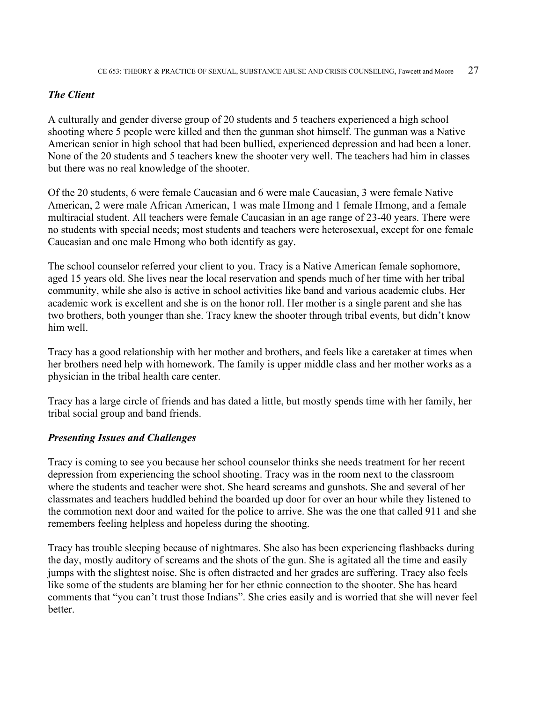#### *The Client*

A culturally and gender diverse group of 20 students and 5 teachers experienced a high school shooting where 5 people were killed and then the gunman shot himself. The gunman was a Native American senior in high school that had been bullied, experienced depression and had been a loner. None of the 20 students and 5 teachers knew the shooter very well. The teachers had him in classes but there was no real knowledge of the shooter.

Of the 20 students, 6 were female Caucasian and 6 were male Caucasian, 3 were female Native American, 2 were male African American, 1 was male Hmong and 1 female Hmong, and a female multiracial student. All teachers were female Caucasian in an age range of 23-40 years. There were no students with special needs; most students and teachers were heterosexual, except for one female Caucasian and one male Hmong who both identify as gay.

The school counselor referred your client to you. Tracy is a Native American female sophomore, aged 15 years old. She lives near the local reservation and spends much of her time with her tribal community, while she also is active in school activities like band and various academic clubs. Her academic work is excellent and she is on the honor roll. Her mother is a single parent and she has two brothers, both younger than she. Tracy knew the shooter through tribal events, but didn't know him well.

Tracy has a good relationship with her mother and brothers, and feels like a caretaker at times when her brothers need help with homework. The family is upper middle class and her mother works as a physician in the tribal health care center.

Tracy has a large circle of friends and has dated a little, but mostly spends time with her family, her tribal social group and band friends.

#### *Presenting Issues and Challenges*

Tracy is coming to see you because her school counselor thinks she needs treatment for her recent depression from experiencing the school shooting. Tracy was in the room next to the classroom where the students and teacher were shot. She heard screams and gunshots. She and several of her classmates and teachers huddled behind the boarded up door for over an hour while they listened to the commotion next door and waited for the police to arrive. She was the one that called 911 and she remembers feeling helpless and hopeless during the shooting.

Tracy has trouble sleeping because of nightmares. She also has been experiencing flashbacks during the day, mostly auditory of screams and the shots of the gun. She is agitated all the time and easily jumps with the slightest noise. She is often distracted and her grades are suffering. Tracy also feels like some of the students are blaming her for her ethnic connection to the shooter. She has heard comments that "you can't trust those Indians". She cries easily and is worried that she will never feel better.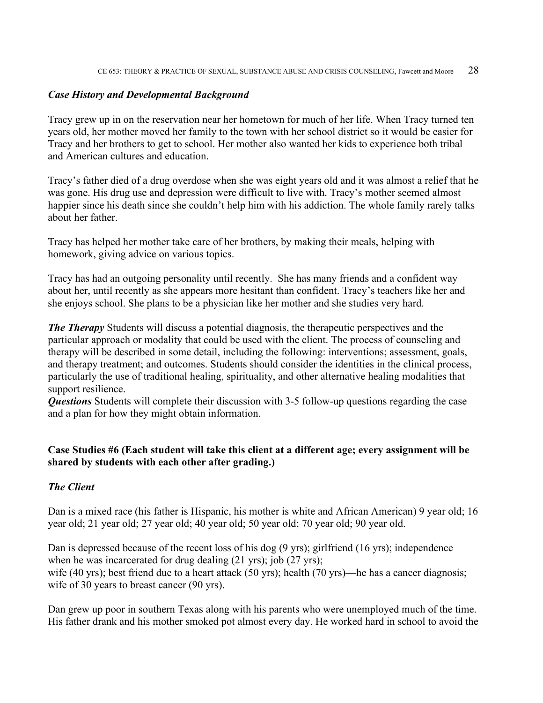#### *Case History and Developmental Background*

Tracy grew up in on the reservation near her hometown for much of her life. When Tracy turned ten years old, her mother moved her family to the town with her school district so it would be easier for Tracy and her brothers to get to school. Her mother also wanted her kids to experience both tribal and American cultures and education.

Tracy's father died of a drug overdose when she was eight years old and it was almost a relief that he was gone. His drug use and depression were difficult to live with. Tracy's mother seemed almost happier since his death since she couldn't help him with his addiction. The whole family rarely talks about her father.

Tracy has helped her mother take care of her brothers, by making their meals, helping with homework, giving advice on various topics.

Tracy has had an outgoing personality until recently. She has many friends and a confident way about her, until recently as she appears more hesitant than confident. Tracy's teachers like her and she enjoys school. She plans to be a physician like her mother and she studies very hard.

*The Therapy* Students will discuss a potential diagnosis, the therapeutic perspectives and the particular approach or modality that could be used with the client. The process of counseling and therapy will be described in some detail, including the following: interventions; assessment, goals, and therapy treatment; and outcomes. Students should consider the identities in the clinical process, particularly the use of traditional healing, spirituality, and other alternative healing modalities that support resilience.

*Questions* Students will complete their discussion with 3-5 follow-up questions regarding the case and a plan for how they might obtain information.

#### **Case Studies #6 (Each student will take this client at a different age; every assignment will be shared by students with each other after grading.)**

#### *The Client*

Dan is a mixed race (his father is Hispanic, his mother is white and African American) 9 year old; 16 year old; 21 year old; 27 year old; 40 year old; 50 year old; 70 year old; 90 year old.

Dan is depressed because of the recent loss of his dog (9 yrs); girlfriend (16 yrs); independence when he was incarcerated for drug dealing (21 yrs); job (27 yrs); wife (40 yrs); best friend due to a heart attack (50 yrs); health (70 yrs)—he has a cancer diagnosis; wife of 30 years to breast cancer (90 yrs).

Dan grew up poor in southern Texas along with his parents who were unemployed much of the time. His father drank and his mother smoked pot almost every day. He worked hard in school to avoid the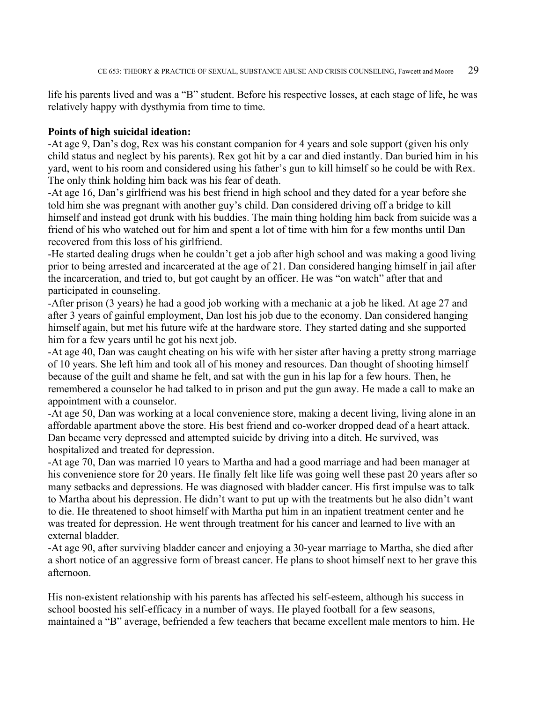life his parents lived and was a "B" student. Before his respective losses, at each stage of life, he was relatively happy with dysthymia from time to time.

#### **Points of high suicidal ideation:**

-At age 9, Dan's dog, Rex was his constant companion for 4 years and sole support (given his only child status and neglect by his parents). Rex got hit by a car and died instantly. Dan buried him in his yard, went to his room and considered using his father's gun to kill himself so he could be with Rex. The only think holding him back was his fear of death.

-At age 16, Dan's girlfriend was his best friend in high school and they dated for a year before she told him she was pregnant with another guy's child. Dan considered driving off a bridge to kill himself and instead got drunk with his buddies. The main thing holding him back from suicide was a friend of his who watched out for him and spent a lot of time with him for a few months until Dan recovered from this loss of his girlfriend.

-He started dealing drugs when he couldn't get a job after high school and was making a good living prior to being arrested and incarcerated at the age of 21. Dan considered hanging himself in jail after the incarceration, and tried to, but got caught by an officer. He was "on watch" after that and participated in counseling.

-After prison (3 years) he had a good job working with a mechanic at a job he liked. At age 27 and after 3 years of gainful employment, Dan lost his job due to the economy. Dan considered hanging himself again, but met his future wife at the hardware store. They started dating and she supported him for a few years until he got his next job.

-At age 40, Dan was caught cheating on his wife with her sister after having a pretty strong marriage of 10 years. She left him and took all of his money and resources. Dan thought of shooting himself because of the guilt and shame he felt, and sat with the gun in his lap for a few hours. Then, he remembered a counselor he had talked to in prison and put the gun away. He made a call to make an appointment with a counselor.

-At age 50, Dan was working at a local convenience store, making a decent living, living alone in an affordable apartment above the store. His best friend and co-worker dropped dead of a heart attack. Dan became very depressed and attempted suicide by driving into a ditch. He survived, was hospitalized and treated for depression.

-At age 70, Dan was married 10 years to Martha and had a good marriage and had been manager at his convenience store for 20 years. He finally felt like life was going well these past 20 years after so many setbacks and depressions. He was diagnosed with bladder cancer. His first impulse was to talk to Martha about his depression. He didn't want to put up with the treatments but he also didn't want to die. He threatened to shoot himself with Martha put him in an inpatient treatment center and he was treated for depression. He went through treatment for his cancer and learned to live with an external bladder.

-At age 90, after surviving bladder cancer and enjoying a 30-year marriage to Martha, she died after a short notice of an aggressive form of breast cancer. He plans to shoot himself next to her grave this afternoon.

His non-existent relationship with his parents has affected his self-esteem, although his success in school boosted his self-efficacy in a number of ways. He played football for a few seasons, maintained a "B" average, befriended a few teachers that became excellent male mentors to him. He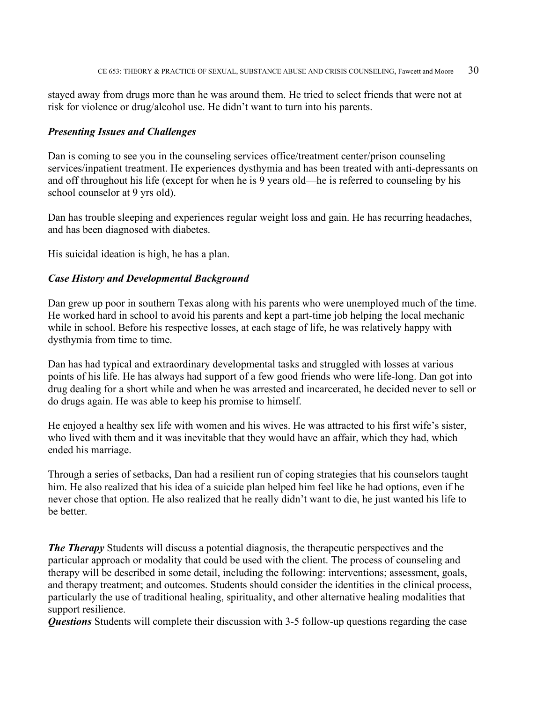stayed away from drugs more than he was around them. He tried to select friends that were not at risk for violence or drug/alcohol use. He didn't want to turn into his parents.

#### *Presenting Issues and Challenges*

Dan is coming to see you in the counseling services office/treatment center/prison counseling services/inpatient treatment. He experiences dysthymia and has been treated with anti-depressants on and off throughout his life (except for when he is 9 years old—he is referred to counseling by his school counselor at 9 yrs old).

Dan has trouble sleeping and experiences regular weight loss and gain. He has recurring headaches, and has been diagnosed with diabetes.

His suicidal ideation is high, he has a plan.

#### *Case History and Developmental Background*

Dan grew up poor in southern Texas along with his parents who were unemployed much of the time. He worked hard in school to avoid his parents and kept a part-time job helping the local mechanic while in school. Before his respective losses, at each stage of life, he was relatively happy with dysthymia from time to time.

Dan has had typical and extraordinary developmental tasks and struggled with losses at various points of his life. He has always had support of a few good friends who were life-long. Dan got into drug dealing for a short while and when he was arrested and incarcerated, he decided never to sell or do drugs again. He was able to keep his promise to himself.

He enjoyed a healthy sex life with women and his wives. He was attracted to his first wife's sister, who lived with them and it was inevitable that they would have an affair, which they had, which ended his marriage.

Through a series of setbacks, Dan had a resilient run of coping strategies that his counselors taught him. He also realized that his idea of a suicide plan helped him feel like he had options, even if he never chose that option. He also realized that he really didn't want to die, he just wanted his life to be better.

*The Therapy* Students will discuss a potential diagnosis, the therapeutic perspectives and the particular approach or modality that could be used with the client. The process of counseling and therapy will be described in some detail, including the following: interventions; assessment, goals, and therapy treatment; and outcomes. Students should consider the identities in the clinical process, particularly the use of traditional healing, spirituality, and other alternative healing modalities that support resilience.

*Questions* Students will complete their discussion with 3-5 follow-up questions regarding the case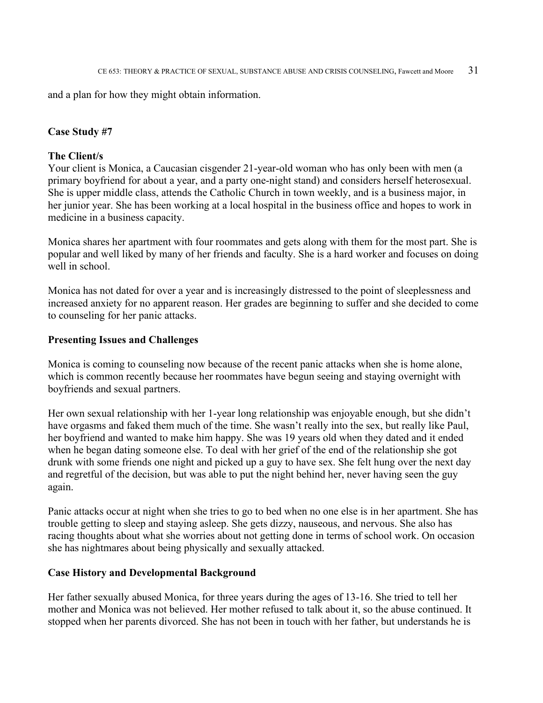and a plan for how they might obtain information.

#### **Case Study #7**

#### **The Client/s**

Your client is Monica, a Caucasian cisgender 21-year-old woman who has only been with men (a primary boyfriend for about a year, and a party one-night stand) and considers herself heterosexual. She is upper middle class, attends the Catholic Church in town weekly, and is a business major, in her junior year. She has been working at a local hospital in the business office and hopes to work in medicine in a business capacity.

Monica shares her apartment with four roommates and gets along with them for the most part. She is popular and well liked by many of her friends and faculty. She is a hard worker and focuses on doing well in school.

Monica has not dated for over a year and is increasingly distressed to the point of sleeplessness and increased anxiety for no apparent reason. Her grades are beginning to suffer and she decided to come to counseling for her panic attacks.

#### **Presenting Issues and Challenges**

Monica is coming to counseling now because of the recent panic attacks when she is home alone, which is common recently because her roommates have begun seeing and staying overnight with boyfriends and sexual partners.

Her own sexual relationship with her 1-year long relationship was enjoyable enough, but she didn't have orgasms and faked them much of the time. She wasn't really into the sex, but really like Paul, her boyfriend and wanted to make him happy. She was 19 years old when they dated and it ended when he began dating someone else. To deal with her grief of the end of the relationship she got drunk with some friends one night and picked up a guy to have sex. She felt hung over the next day and regretful of the decision, but was able to put the night behind her, never having seen the guy again.

Panic attacks occur at night when she tries to go to bed when no one else is in her apartment. She has trouble getting to sleep and staying asleep. She gets dizzy, nauseous, and nervous. She also has racing thoughts about what she worries about not getting done in terms of school work. On occasion she has nightmares about being physically and sexually attacked.

#### **Case History and Developmental Background**

Her father sexually abused Monica, for three years during the ages of 13-16. She tried to tell her mother and Monica was not believed. Her mother refused to talk about it, so the abuse continued. It stopped when her parents divorced. She has not been in touch with her father, but understands he is